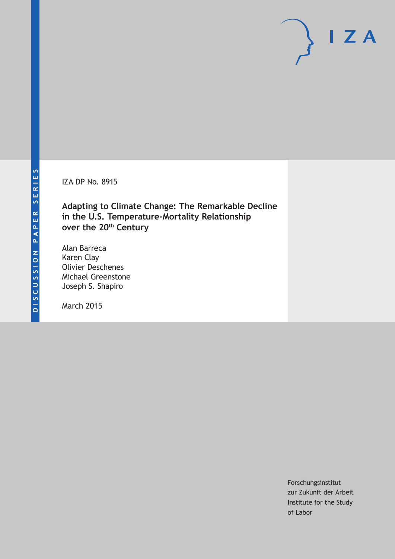IZA DP No. 8915

**Adapting to Climate Change: The Remarkable Decline in the U.S. Temperature-Mortality Relationship over the 20th Century**

Alan Barreca Karen Clay Olivier Deschenes Michael Greenstone Joseph S. Shapiro

March 2015

Forschungsinstitut zur Zukunft der Arbeit Institute for the Study of Labor

 $I Z A$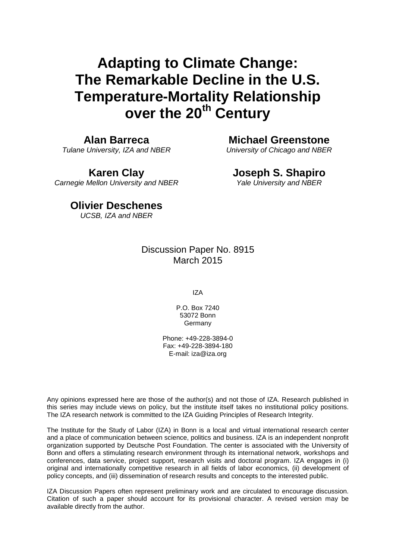# **Adapting to Climate Change: The Remarkable Decline in the U.S. Temperature-Mortality Relationship over the 20th Century**

### **Alan Barreca**

*Tulane University, IZA and NBER*

### **Karen Clay**

*Carnegie Mellon University and NBER*

### **Michael Greenstone**

*University of Chicago and NBER*

### **Joseph S. Shapiro**

*Yale University and NBER*

### **Olivier Deschenes**

*UCSB, IZA and NBER*

### Discussion Paper No. 8915 March 2015

IZA

P.O. Box 7240 53072 Bonn **Germany** 

Phone: +49-228-3894-0 Fax: +49-228-3894-180 E-mail: iza@iza.org

Any opinions expressed here are those of the author(s) and not those of IZA. Research published in this series may include views on policy, but the institute itself takes no institutional policy positions. The IZA research network is committed to the IZA Guiding Principles of Research Integrity.

The Institute for the Study of Labor (IZA) in Bonn is a local and virtual international research center and a place of communication between science, politics and business. IZA is an independent nonprofit organization supported by Deutsche Post Foundation. The center is associated with the University of Bonn and offers a stimulating research environment through its international network, workshops and conferences, data service, project support, research visits and doctoral program. IZA engages in (i) original and internationally competitive research in all fields of labor economics, (ii) development of policy concepts, and (iii) dissemination of research results and concepts to the interested public.

<span id="page-1-0"></span>IZA Discussion Papers often represent preliminary work and are circulated to encourage discussion. Citation of such a paper should account for its provisional character. A revised version may be available directly from the author.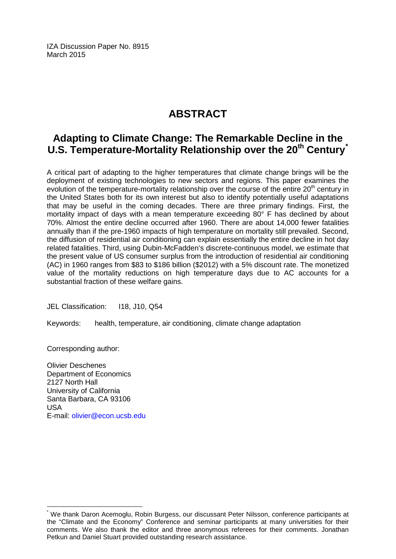IZA Discussion Paper No. 8915 March 2015

## **ABSTRACT**

### **Adapting to Climate Change: The Remarkable Decline in the U.S. Temperature-Mortality Relationship over the 20<sup>th</sup> Century<sup>[\\*](#page-1-0)</sup>**

A critical part of adapting to the higher temperatures that climate change brings will be the deployment of existing technologies to new sectors and regions. This paper examines the evolution of the temperature-mortality relationship over the course of the entire  $20<sup>th</sup>$  century in the United States both for its own interest but also to identify potentially useful adaptations that may be useful in the coming decades. There are three primary findings. First, the mortality impact of days with a mean temperature exceeding 80° F has declined by about 70%. Almost the entire decline occurred after 1960. There are about 14,000 fewer fatalities annually than if the pre-1960 impacts of high temperature on mortality still prevailed. Second, the diffusion of residential air conditioning can explain essentially the entire decline in hot day related fatalities. Third, using Dubin-McFadden's discrete-continuous model, we estimate that the present value of US consumer surplus from the introduction of residential air conditioning (AC) in 1960 ranges from \$83 to \$186 billion (\$2012) with a 5% discount rate. The monetized value of the mortality reductions on high temperature days due to AC accounts for a substantial fraction of these welfare gains.

JEL Classification: I18, J10, Q54

Keywords: health, temperature, air conditioning, climate change adaptation

Corresponding author:

Olivier Deschenes Department of Economics 2127 North Hall University of California Santa Barbara, CA 93106 USA E-mail: [olivier@econ.ucsb.edu](mailto:olivier@econ.ucsb.edu)

We thank Daron Acemoglu, Robin Burgess, our discussant Peter Nilsson, conference participants at the "Climate and the Economy" Conference and seminar participants at many universities for their comments. We also thank the editor and three anonymous referees for their comments. Jonathan Petkun and Daniel Stuart provided outstanding research assistance.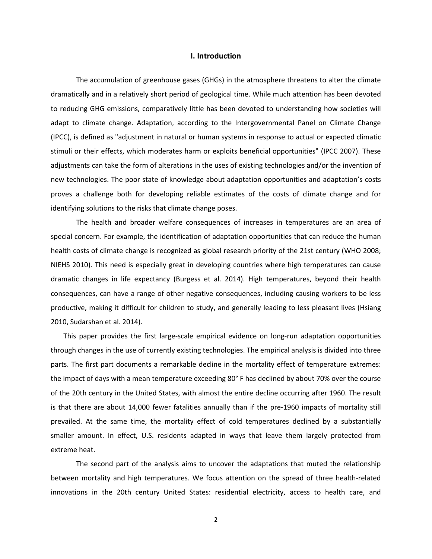#### **I. Introduction**

The accumulation of greenhouse gases (GHGs) in the atmosphere threatens to alter the climate dramatically and in a relatively short period of geological time. While much attention has been devoted to reducing GHG emissions, comparatively little has been devoted to understanding how societies will adapt to climate change. Adaptation, according to the Intergovernmental Panel on Climate Change (IPCC), is defined as "adjustment in natural or human systems in response to actual or expected climatic stimuli or their effects, which moderates harm or exploits beneficial opportunities" (IPCC 2007). These adjustments can take the form of alterations in the uses of existing technologies and/or the invention of new technologies. The poor state of knowledge about adaptation opportunities and adaptation's costs proves a challenge both for developing reliable estimates of the costs of climate change and for identifying solutions to the risks that climate change poses.

The health and broader welfare consequences of increases in temperatures are an area of special concern. For example, the identification of adaptation opportunities that can reduce the human health costs of climate change is recognized as global research priority of the 21st century (WHO 2008; NIEHS 2010). This need is especially great in developing countries where high temperatures can cause dramatic changes in life expectancy (Burgess et al. 2014). High temperatures, beyond their health consequences, can have a range of other negative consequences, including causing workers to be less productive, making it difficult for children to study, and generally leading to less pleasant lives (Hsiang 2010, Sudarshan et al. 2014).

This paper provides the first large-scale empirical evidence on long-run adaptation opportunities through changes in the use of currently existing technologies. The empirical analysis is divided into three parts. The first part documents a remarkable decline in the mortality effect of temperature extremes: the impact of days with a mean temperature exceeding 80° F has declined by about 70% over the course of the 20th century in the United States, with almost the entire decline occurring after 1960. The result is that there are about 14,000 fewer fatalities annually than if the pre-1960 impacts of mortality still prevailed. At the same time, the mortality effect of cold temperatures declined by a substantially smaller amount. In effect, U.S. residents adapted in ways that leave them largely protected from extreme heat.

The second part of the analysis aims to uncover the adaptations that muted the relationship between mortality and high temperatures. We focus attention on the spread of three health-related innovations in the 20th century United States: residential electricity, access to health care, and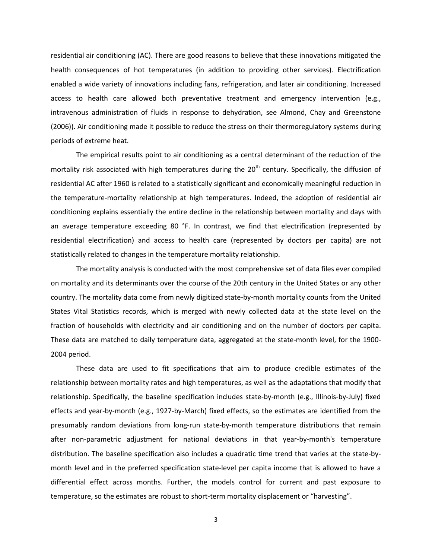residential air conditioning (AC). There are good reasons to believe that these innovations mitigated the health consequences of hot temperatures (in addition to providing other services). Electrification enabled a wide variety of innovations including fans, refrigeration, and later air conditioning. Increased access to health care allowed both preventative treatment and emergency intervention (e.g., intravenous administration of fluids in response to dehydration, see Almond, Chay and Greenstone (2006)). Air conditioning made it possible to reduce the stress on their thermoregulatory systems during periods of extreme heat.

The empirical results point to air conditioning as a central determinant of the reduction of the mortality risk associated with high temperatures during the  $20<sup>th</sup>$  century. Specifically, the diffusion of residential AC after 1960 is related to a statistically significant and economically meaningful reduction in the temperature-mortality relationship at high temperatures. Indeed, the adoption of residential air conditioning explains essentially the entire decline in the relationship between mortality and days with an average temperature exceeding 80 °F. In contrast, we find that electrification (represented by residential electrification) and access to health care (represented by doctors per capita) are not statistically related to changes in the temperature mortality relationship.

The mortality analysis is conducted with the most comprehensive set of data files ever compiled on mortality and its determinants over the course of the 20th century in the United States or any other country. The mortality data come from newly digitized state-by-month mortality counts from the United States Vital Statistics records, which is merged with newly collected data at the state level on the fraction of households with electricity and air conditioning and on the number of doctors per capita. These data are matched to daily temperature data, aggregated at the state-month level, for the 1900- 2004 period.

These data are used to fit specifications that aim to produce credible estimates of the relationship between mortality rates and high temperatures, as well as the adaptations that modify that relationship. Specifically, the baseline specification includes state-by-month (e.g., Illinois-by-July) fixed effects and year-by-month (e.g., 1927-by-March) fixed effects, so the estimates are identified from the presumably random deviations from long-run state-by-month temperature distributions that remain after non-parametric adjustment for national deviations in that year-by-month's temperature distribution. The baseline specification also includes a quadratic time trend that varies at the state-bymonth level and in the preferred specification state-level per capita income that is allowed to have a differential effect across months. Further, the models control for current and past exposure to temperature, so the estimates are robust to short-term mortality displacement or "harvesting".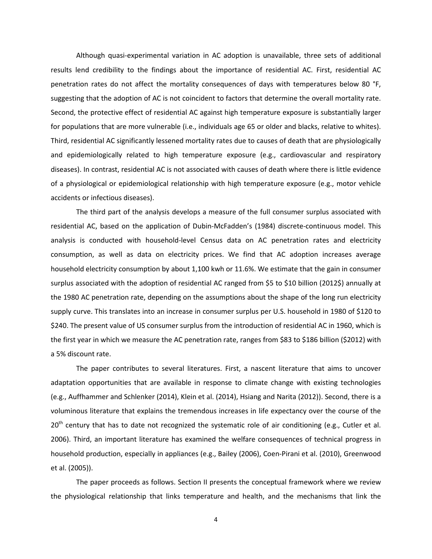Although quasi-experimental variation in AC adoption is unavailable, three sets of additional results lend credibility to the findings about the importance of residential AC. First, residential AC penetration rates do not affect the mortality consequences of days with temperatures below 80 °F, suggesting that the adoption of AC is not coincident to factors that determine the overall mortality rate. Second, the protective effect of residential AC against high temperature exposure is substantially larger for populations that are more vulnerable (i.e., individuals age 65 or older and blacks, relative to whites). Third, residential AC significantly lessened mortality rates due to causes of death that are physiologically and epidemiologically related to high temperature exposure (e.g., cardiovascular and respiratory diseases). In contrast, residential AC is not associated with causes of death where there is little evidence of a physiological or epidemiological relationship with high temperature exposure (e.g., motor vehicle accidents or infectious diseases).

The third part of the analysis develops a measure of the full consumer surplus associated with residential AC, based on the application of Dubin-McFadden's (1984) discrete-continuous model. This analysis is conducted with household-level Census data on AC penetration rates and electricity consumption, as well as data on electricity prices. We find that AC adoption increases average household electricity consumption by about 1,100 kwh or 11.6%. We estimate that the gain in consumer surplus associated with the adoption of residential AC ranged from \$5 to \$10 billion (2012\$) annually at the 1980 AC penetration rate, depending on the assumptions about the shape of the long run electricity supply curve. This translates into an increase in consumer surplus per U.S. household in 1980 of \$120 to \$240. The present value of US consumer surplus from the introduction of residential AC in 1960, which is the first year in which we measure the AC penetration rate, ranges from \$83 to \$186 billion (\$2012) with a 5% discount rate.

The paper contributes to several literatures. First, a nascent literature that aims to uncover adaptation opportunities that are available in response to climate change with existing technologies (e.g., Auffhammer and Schlenker (2014), Klein et al. (2014), Hsiang and Narita (2012)). Second, there is a voluminous literature that explains the tremendous increases in life expectancy over the course of the  $20<sup>th</sup>$  century that has to date not recognized the systematic role of air conditioning (e.g., Cutler et al. 2006). Third, an important literature has examined the welfare consequences of technical progress in household production, especially in appliances (e.g., Bailey (2006), Coen-Pirani et al. (2010), Greenwood et al. (2005)).

The paper proceeds as follows. Section II presents the conceptual framework where we review the physiological relationship that links temperature and health, and the mechanisms that link the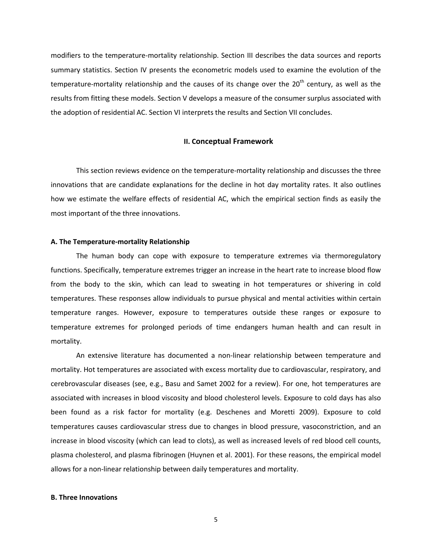modifiers to the temperature-mortality relationship. Section III describes the data sources and reports summary statistics. Section IV presents the econometric models used to examine the evolution of the temperature-mortality relationship and the causes of its change over the  $20<sup>th</sup>$  century, as well as the results from fitting these models. Section V develops a measure of the consumer surplus associated with the adoption of residential AC. Section VI interprets the results and Section VII concludes.

#### **II. Conceptual Framework**

This section reviews evidence on the temperature-mortality relationship and discusses the three innovations that are candidate explanations for the decline in hot day mortality rates. It also outlines how we estimate the welfare effects of residential AC, which the empirical section finds as easily the most important of the three innovations.

#### **A. The Temperature-mortality Relationship**

The human body can cope with exposure to temperature extremes via thermoregulatory functions. Specifically, temperature extremes trigger an increase in the heart rate to increase blood flow from the body to the skin, which can lead to sweating in hot temperatures or shivering in cold temperatures. These responses allow individuals to pursue physical and mental activities within certain temperature ranges. However, exposure to temperatures outside these ranges or exposure to temperature extremes for prolonged periods of time endangers human health and can result in mortality.

An extensive literature has documented a non-linear relationship between temperature and mortality. Hot temperatures are associated with excess mortality due to cardiovascular, respiratory, and cerebrovascular diseases (see, e.g., Basu and Samet 2002 for a review). For one, hot temperatures are associated with increases in blood viscosity and blood cholesterol levels. Exposure to cold days has also been found as a risk factor for mortality (e.g. Deschenes and Moretti 2009). Exposure to cold temperatures causes cardiovascular stress due to changes in blood pressure, vasoconstriction, and an increase in blood viscosity (which can lead to clots), as well as increased levels of red blood cell counts, plasma cholesterol, and plasma fibrinogen (Huynen et al. 2001). For these reasons, the empirical model allows for a non-linear relationship between daily temperatures and mortality.

#### **B. Three Innovations**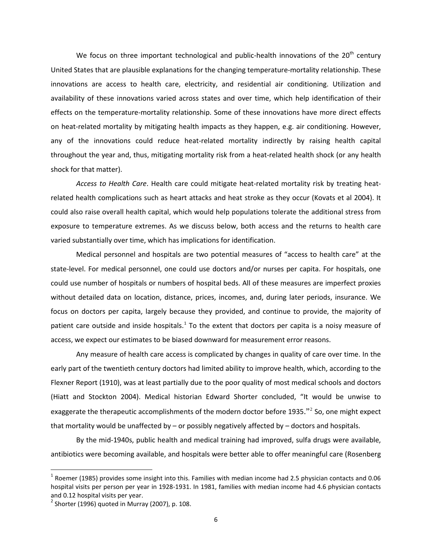We focus on three important technological and public-health innovations of the  $20<sup>th</sup>$  century United States that are plausible explanations for the changing temperature-mortality relationship. These innovations are access to health care, electricity, and residential air conditioning. Utilization and availability of these innovations varied across states and over time, which help identification of their effects on the temperature-mortality relationship. Some of these innovations have more direct effects on heat-related mortality by mitigating health impacts as they happen, e.g. air conditioning. However, any of the innovations could reduce heat-related mortality indirectly by raising health capital throughout the year and, thus, mitigating mortality risk from a heat-related health shock (or any health shock for that matter).

*Access to Health Care*. Health care could mitigate heat-related mortality risk by treating heatrelated health complications such as heart attacks and heat stroke as they occur (Kovats et al 2004). It could also raise overall health capital, which would help populations tolerate the additional stress from exposure to temperature extremes. As we discuss below, both access and the returns to health care varied substantially over time, which has implications for identification.

Medical personnel and hospitals are two potential measures of "access to health care" at the state-level. For medical personnel, one could use doctors and/or nurses per capita. For hospitals, one could use number of hospitals or numbers of hospital beds. All of these measures are imperfect proxies without detailed data on location, distance, prices, incomes, and, during later periods, insurance. We focus on doctors per capita, largely because they provided, and continue to provide, the majority of patient care outside and inside hospitals.<sup>[1](#page-7-0)</sup> To the extent that doctors per capita is a noisy measure of access, we expect our estimates to be biased downward for measurement error reasons.

Any measure of health care access is complicated by changes in quality of care over time. In the early part of the twentieth century doctors had limited ability to improve health, which, according to the Flexner Report (1910), was at least partially due to the poor quality of most medical schools and doctors (Hiatt and Stockton 2004). Medical historian Edward Shorter concluded, "It would be unwise to exaggerate the therapeutic accomplishments of the modern doctor before 1935."<sup>[2](#page-7-1)</sup> So, one might expect that mortality would be unaffected by – or possibly negatively affected by – doctors and hospitals.

By the mid-1940s, public health and medical training had improved, sulfa drugs were available, antibiotics were becoming available, and hospitals were better able to offer meaningful care (Rosenberg

<span id="page-7-0"></span> $^1$  Roemer (1985) provides some insight into this. Families with median income had 2.5 physician contacts and 0.06 hospital visits per person per year in 1928-1931. In 1981, families with median income had 4.6 physician contacts and 0.12 hospital visits per year.<br><sup>2</sup> Shorter (1996) quoted in Murray (2007), p. 108.

<span id="page-7-1"></span>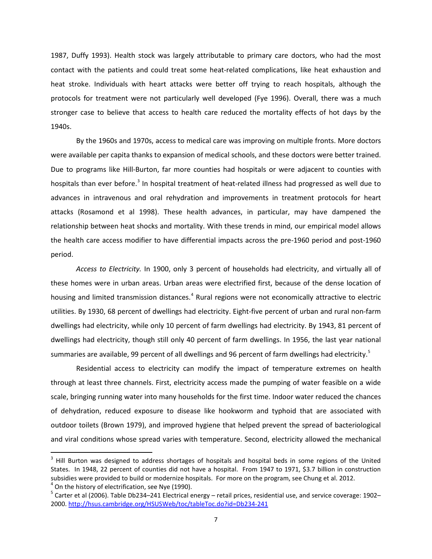1987, Duffy 1993). Health stock was largely attributable to primary care doctors, who had the most contact with the patients and could treat some heat-related complications, like heat exhaustion and heat stroke. Individuals with heart attacks were better off trying to reach hospitals, although the protocols for treatment were not particularly well developed (Fye 1996). Overall, there was a much stronger case to believe that access to health care reduced the mortality effects of hot days by the 1940s.

By the 1960s and 1970s, access to medical care was improving on multiple fronts. More doctors were available per capita thanks to expansion of medical schools, and these doctors were better trained. Due to programs like Hill-Burton, far more counties had hospitals or were adjacent to counties with hospitals than ever before.<sup>[3](#page-8-0)</sup> In hospital treatment of heat-related illness had progressed as well due to advances in intravenous and oral rehydration and improvements in treatment protocols for heart attacks (Rosamond et al 1998). These health advances, in particular, may have dampened the relationship between heat shocks and mortality. With these trends in mind, our empirical model allows the health care access modifier to have differential impacts across the pre-1960 period and post-1960 period.

*Access to Electricity.* In 1900, only 3 percent of households had electricity, and virtually all of these homes were in urban areas. Urban areas were electrified first, because of the dense location of housing and limited transmission distances.<sup>[4](#page-8-1)</sup> Rural regions were not economically attractive to electric utilities. By 1930, 68 percent of dwellings had electricity. Eight-five percent of urban and rural non-farm dwellings had electricity, while only 10 percent of farm dwellings had electricity. By 1943, 81 percent of dwellings had electricity, though still only 40 percent of farm dwellings. In 1956, the last year national summaries are available, 99 percent of all dwellings and 96 percent of farm dwellings had electricity.<sup>[5](#page-8-2)</sup>

Residential access to electricity can modify the impact of temperature extremes on health through at least three channels. First, electricity access made the pumping of water feasible on a wide scale, bringing running water into many households for the first time. Indoor water reduced the chances of dehydration, reduced exposure to disease like hookworm and typhoid that are associated with outdoor toilets (Brown 1979), and improved hygiene that helped prevent the spread of bacteriological and viral conditions whose spread varies with temperature. Second, electricity allowed the mechanical

<span id="page-8-0"></span> $3$  Hill Burton was designed to address shortages of hospitals and hospital beds in some regions of the United States. In 1948, 22 percent of counties did not have a hospital. From 1947 to 1971, \$3.7 billion in construction subsidies were provided to build or modernize hospitals. For more on the program, see Chung et al. 2012.  $4$  On the history of electrification, see Nye (1990).

<span id="page-8-2"></span><span id="page-8-1"></span> $5$  Carter et al (2006). Table Db234–241 Electrical energy – retail prices, residential use, and service coverage: 1902– 2000.<http://hsus.cambridge.org/HSUSWeb/toc/tableToc.do?id=Db234-241>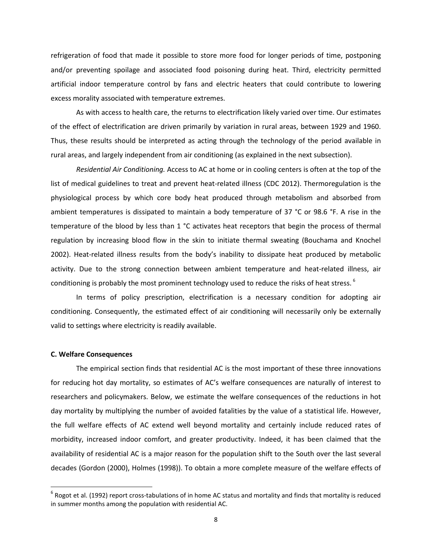refrigeration of food that made it possible to store more food for longer periods of time, postponing and/or preventing spoilage and associated food poisoning during heat. Third, electricity permitted artificial indoor temperature control by fans and electric heaters that could contribute to lowering excess morality associated with temperature extremes.

As with access to health care, the returns to electrification likely varied over time. Our estimates of the effect of electrification are driven primarily by variation in rural areas, between 1929 and 1960. Thus, these results should be interpreted as acting through the technology of the period available in rural areas, and largely independent from air conditioning (as explained in the next subsection).

*Residential Air Conditioning.* Access to AC at home or in cooling centers is often at the top of the list of medical guidelines to treat and prevent heat-related illness (CDC 2012). Thermoregulation is the physiological process by which core body heat produced through metabolism and absorbed from ambient temperatures is dissipated to maintain a body temperature of 37 °C or 98.6 °F. A rise in the temperature of the blood by less than 1 °C activates heat receptors that begin the process of thermal regulation by increasing blood flow in the skin to initiate thermal sweating (Bouchama and Knochel 2002). Heat-related illness results from the body's inability to dissipate heat produced by metabolic activity. Due to the strong connection between ambient temperature and heat-related illness, air conditioning is probably the most prominent technology used to reduce the risks of heat stress.<sup>[6](#page-9-0)</sup>

In terms of policy prescription, electrification is a necessary condition for adopting air conditioning. Consequently, the estimated effect of air conditioning will necessarily only be externally valid to settings where electricity is readily available.

#### **C. Welfare Consequences**

The empirical section finds that residential AC is the most important of these three innovations for reducing hot day mortality, so estimates of AC's welfare consequences are naturally of interest to researchers and policymakers. Below, we estimate the welfare consequences of the reductions in hot day mortality by multiplying the number of avoided fatalities by the value of a statistical life. However, the full welfare effects of AC extend well beyond mortality and certainly include reduced rates of morbidity, increased indoor comfort, and greater productivity. Indeed, it has been claimed that the availability of residential AC is a major reason for the population shift to the South over the last several decades (Gordon (2000), Holmes (1998)). To obtain a more complete measure of the welfare effects of

<span id="page-9-0"></span> $^6$  Rogot et al. (1992) report cross-tabulations of in home AC status and mortality and finds that mortality is reduced in summer months among the population with residential AC.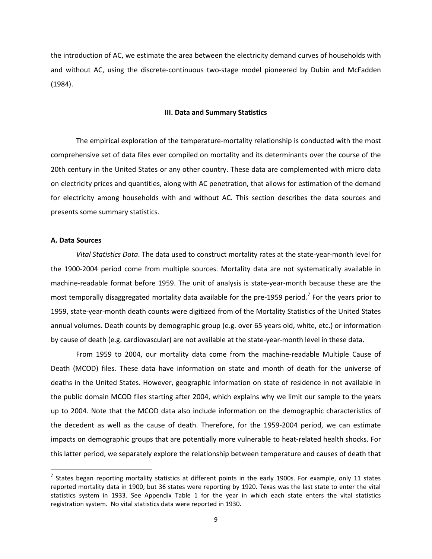the introduction of AC, we estimate the area between the electricity demand curves of households with and without AC, using the discrete-continuous two-stage model pioneered by Dubin and McFadden (1984).

#### **III. Data and Summary Statistics**

The empirical exploration of the temperature-mortality relationship is conducted with the most comprehensive set of data files ever compiled on mortality and its determinants over the course of the 20th century in the United States or any other country. These data are complemented with micro data on electricity prices and quantities, along with AC penetration, that allows for estimation of the demand for electricity among households with and without AC. This section describes the data sources and presents some summary statistics.

#### **A. Data Sources**

*Vital Statistics Data*. The data used to construct mortality rates at the state-year-month level for the 1900-2004 period come from multiple sources. Mortality data are not systematically available in machine-readable format before 1959. The unit of analysis is state-year-month because these are the most temporally disaggregated mortality data available for the pre-1959 period.<sup>[7](#page-10-0)</sup> For the years prior to 1959, state-year-month death counts were digitized from of the Mortality Statistics of the United States annual volumes. Death counts by demographic group (e.g. over 65 years old, white, etc.) or information by cause of death (e.g. cardiovascular) are not available at the state-year-month level in these data.

From 1959 to 2004, our mortality data come from the machine-readable Multiple Cause of Death (MCOD) files. These data have information on state and month of death for the universe of deaths in the United States. However, geographic information on state of residence in not available in the public domain MCOD files starting after 2004, which explains why we limit our sample to the years up to 2004. Note that the MCOD data also include information on the demographic characteristics of the decedent as well as the cause of death. Therefore, for the 1959-2004 period, we can estimate impacts on demographic groups that are potentially more vulnerable to heat-related health shocks. For this latter period, we separately explore the relationship between temperature and causes of death that

<span id="page-10-0"></span> $<sup>7</sup>$  States began reporting mortality statistics at different points in the early 1900s. For example, only 11 states</sup> reported mortality data in 1900, but 36 states were reporting by 1920. Texas was the last state to enter the vital statistics system in 1933. See Appendix Table 1 for the year in which each state enters the vital statistics registration system. No vital statistics data were reported in 1930.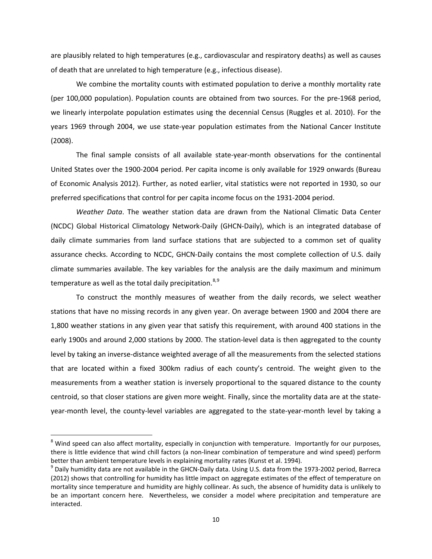are plausibly related to high temperatures (e.g., cardiovascular and respiratory deaths) as well as causes of death that are unrelated to high temperature (e.g., infectious disease).

We combine the mortality counts with estimated population to derive a monthly mortality rate (per 100,000 population). Population counts are obtained from two sources. For the pre-1968 period, we linearly interpolate population estimates using the decennial Census (Ruggles et al. 2010). For the years 1969 through 2004, we use state-year population estimates from the National Cancer Institute (2008).

The final sample consists of all available state-year-month observations for the continental United States over the 1900-2004 period. Per capita income is only available for 1929 onwards (Bureau of Economic Analysis 2012). Further, as noted earlier, vital statistics were not reported in 1930, so our preferred specifications that control for per capita income focus on the 1931-2004 period.

*Weather Data*. The weather station data are drawn from the National Climatic Data Center (NCDC) Global Historical Climatology Network-Daily (GHCN-Daily), which is an integrated database of daily climate summaries from land surface stations that are subjected to a common set of quality assurance checks. According to NCDC, GHCN-Daily contains the most complete collection of U.S. daily climate summaries available. The key variables for the analysis are the daily maximum and minimum temperature as well as the total daily precipitation.<sup>[8](#page-11-0),[9](#page-11-1)</sup>

To construct the monthly measures of weather from the daily records, we select weather stations that have no missing records in any given year. On average between 1900 and 2004 there are 1,800 weather stations in any given year that satisfy this requirement, with around 400 stations in the early 1900s and around 2,000 stations by 2000. The station-level data is then aggregated to the county level by taking an inverse-distance weighted average of all the measurements from the selected stations that are located within a fixed 300km radius of each county's centroid. The weight given to the measurements from a weather station is inversely proportional to the squared distance to the county centroid, so that closer stations are given more weight. Finally, since the mortality data are at the stateyear-month level, the county-level variables are aggregated to the state-year-month level by taking a

<span id="page-11-0"></span><sup>&</sup>lt;sup>8</sup> Wind speed can also affect mortality, especially in conjunction with temperature. Importantly for our purposes, there is little evidence that wind chill factors (a non-linear combination of temperature and wind speed) perform better than ambient temperature levels in explaining mortality rates (Kunst et al. 1994).

<span id="page-11-1"></span><sup>&</sup>lt;sup>9</sup> Daily humidity data are not available in the GHCN-Daily data. Using U.S. data from the 1973-2002 period, Barreca (2012) shows that controlling for humidity has little impact on aggregate estimates of the effect of temperature on mortality since temperature and humidity are highly collinear. As such, the absence of humidity data is unlikely to be an important concern here. Nevertheless, we consider a model where precipitation and temperature are interacted.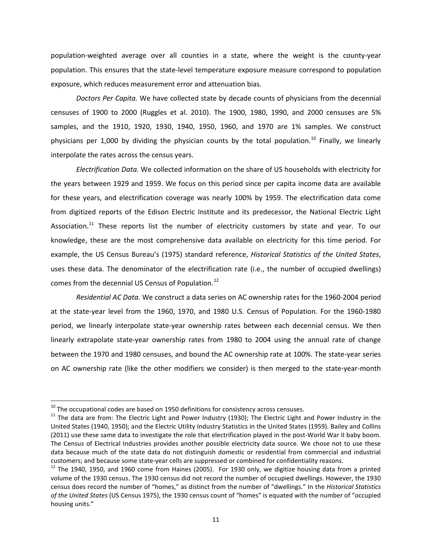population-weighted average over all counties in a state, where the weight is the county-year population. This ensures that the state-level temperature exposure measure correspond to population exposure, which reduces measurement error and attenuation bias.

*Doctors Per Capita.* We have collected state by decade counts of physicians from the decennial censuses of 1900 to 2000 (Ruggles et al. 2010). The 1900, 1980, 1990, and 2000 censuses are 5% samples, and the 1910, 1920, 1930, 1940, 1950, 1960, and 1970 are 1% samples. We construct physicians per 1,000 by dividing the physician counts by the total population.<sup>[10](#page-12-0)</sup> Finally, we linearly interpolate the rates across the census years.

*Electrification Data.* We collected information on the share of US households with electricity for the years between 1929 and 1959. We focus on this period since per capita income data are available for these years, and electrification coverage was nearly 100% by 1959. The electrification data come from digitized reports of the Edison Electric Institute and its predecessor, the National Electric Light Association.<sup>[11](#page-12-1)</sup> These reports list the number of electricity customers by state and year. To our knowledge, these are the most comprehensive data available on electricity for this time period. For example, the US Census Bureau's (1975) standard reference, *Historical Statistics of the United States*, uses these data. The denominator of the electrification rate (i.e., the number of occupied dwellings) comes from the decennial US Census of Population.<sup>[12](#page-12-2)</sup>

*Residential AC Data.* We construct a data series on AC ownership rates for the 1960-2004 period at the state-year level from the 1960, 1970, and 1980 U.S. Census of Population. For the 1960-1980 period, we linearly interpolate state-year ownership rates between each decennial census. We then linearly extrapolate state-year ownership rates from 1980 to 2004 using the annual rate of change between the 1970 and 1980 censuses, and bound the AC ownership rate at 100%. The state-year series on AC ownership rate (like the other modifiers we consider) is then merged to the state-year-month

<span id="page-12-1"></span><span id="page-12-0"></span><sup>&</sup>lt;sup>10</sup> The occupational codes are based on 1950 definitions for consistency across censuses.<br><sup>11</sup> The data are from: The Electric Light and Power Industry (1930); The Electric Light and Power Industry in the United States (1940, 1950); and the Electric Utility Industry Statistics in the United States (1959). Bailey and Collins (2011) use these same data to investigate the role that electrification played in the post-World War II baby boom. The Census of Electrical Industries provides another possible electricity data source. We chose not to use these data because much of the state data do not distinguish domestic or residential from commercial and industrial customers; and because some state-year cells are suppressed or combined for confidentiality reasons.<br><sup>12</sup> The 1940, 1950, and 1960 come from Haines (2005). For 1930 only, we digitize housing data from a printed

<span id="page-12-2"></span>volume of the 1930 census. The 1930 census did not record the number of occupied dwellings. However, the 1930 census does record the number of "homes," as distinct from the number of "dwellings." In the *Historical Statistics of the United States* (US Census 1975), the 1930 census count of "homes" is equated with the number of "occupied housing units."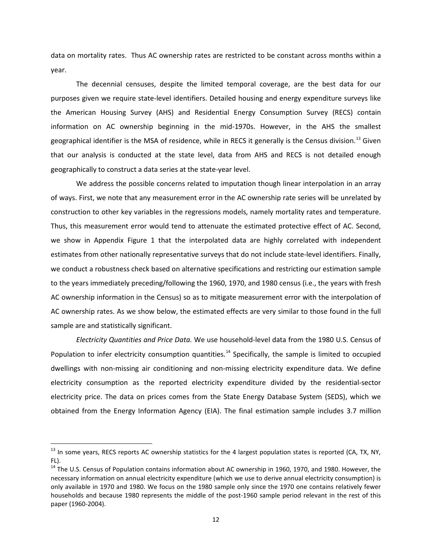data on mortality rates. Thus AC ownership rates are restricted to be constant across months within a year.

The decennial censuses, despite the limited temporal coverage, are the best data for our purposes given we require state-level identifiers. Detailed housing and energy expenditure surveys like the American Housing Survey (AHS) and Residential Energy Consumption Survey (RECS) contain information on AC ownership beginning in the mid-1970s. However, in the AHS the smallest geographical identifier is the MSA of residence, while in RECS it generally is the Census division.<sup>[13](#page-13-0)</sup> Given that our analysis is conducted at the state level, data from AHS and RECS is not detailed enough geographically to construct a data series at the state-year level.

We address the possible concerns related to imputation though linear interpolation in an array of ways. First, we note that any measurement error in the AC ownership rate series will be unrelated by construction to other key variables in the regressions models, namely mortality rates and temperature. Thus, this measurement error would tend to attenuate the estimated protective effect of AC. Second, we show in Appendix Figure 1 that the interpolated data are highly correlated with independent estimates from other nationally representative surveys that do not include state-level identifiers. Finally, we conduct a robustness check based on alternative specifications and restricting our estimation sample to the years immediately preceding/following the 1960, 1970, and 1980 census (i.e., the years with fresh AC ownership information in the Census) so as to mitigate measurement error with the interpolation of AC ownership rates. As we show below, the estimated effects are very similar to those found in the full sample are and statistically significant.

*Electricity Quantities and Price Data.* We use household-level data from the 1980 U.S. Census of Population to infer electricity consumption quantities.<sup>[14](#page-13-1)</sup> Specifically, the sample is limited to occupied dwellings with non-missing air conditioning and non-missing electricity expenditure data. We define electricity consumption as the reported electricity expenditure divided by the residential-sector electricity price. The data on prices comes from the State Energy Database System (SEDS), which we obtained from the Energy Information Agency (EIA). The final estimation sample includes 3.7 million

<span id="page-13-0"></span><sup>&</sup>lt;sup>13</sup> In some years, RECS reports AC ownership statistics for the 4 largest population states is reported (CA, TX, NY, FL).

<span id="page-13-1"></span><sup>&</sup>lt;sup>14</sup> The U.S. Census of Population contains information about AC ownership in 1960, 1970, and 1980. However, the necessary information on annual electricity expenditure (which we use to derive annual electricity consumption) is only available in 1970 and 1980. We focus on the 1980 sample only since the 1970 one contains relatively fewer households and because 1980 represents the middle of the post-1960 sample period relevant in the rest of this paper (1960-2004).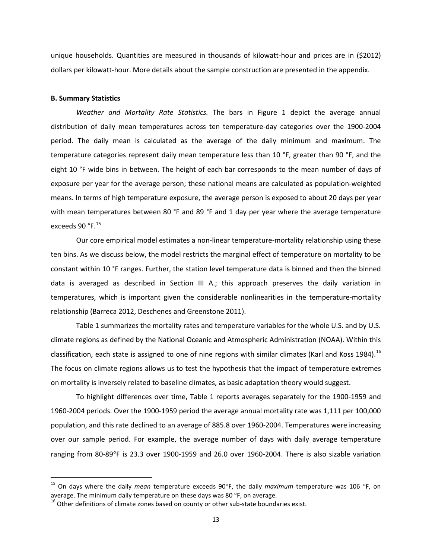unique households. Quantities are measured in thousands of kilowatt-hour and prices are in (\$2012) dollars per kilowatt-hour. More details about the sample construction are presented in the appendix.

#### **B. Summary Statistics**

 $\overline{a}$ 

*Weather and Mortality Rate Statistics.* The bars in Figure 1 depict the average annual distribution of daily mean temperatures across ten temperature-day categories over the 1900-2004 period. The daily mean is calculated as the average of the daily minimum and maximum. The temperature categories represent daily mean temperature less than 10 °F, greater than 90 °F, and the eight 10 °F wide bins in between. The height of each bar corresponds to the mean number of days of exposure per year for the average person; these national means are calculated as population-weighted means. In terms of high temperature exposure, the average person is exposed to about 20 days per year with mean temperatures between 80 °F and 89 °F and 1 day per year where the average temperature exceeds 90 °F.<sup>[15](#page-14-0)</sup>

Our core empirical model estimates a non-linear temperature-mortality relationship using these ten bins. As we discuss below, the model restricts the marginal effect of temperature on mortality to be constant within 10 °F ranges. Further, the station level temperature data is binned and then the binned data is averaged as described in Section III A.; this approach preserves the daily variation in temperatures, which is important given the considerable nonlinearities in the temperature-mortality relationship (Barreca 2012, Deschenes and Greenstone 2011).

Table 1 summarizes the mortality rates and temperature variables for the whole U.S. and by U.S. climate regions as defined by the National Oceanic and Atmospheric Administration (NOAA). Within this classification, each state is assigned to one of nine regions with similar climates (Karl and Koss 1984). <sup>[16](#page-14-1)</sup> The focus on climate regions allows us to test the hypothesis that the impact of temperature extremes on mortality is inversely related to baseline climates, as basic adaptation theory would suggest.

To highlight differences over time, Table 1 reports averages separately for the 1900-1959 and 1960-2004 periods. Over the 1900-1959 period the average annual mortality rate was 1,111 per 100,000 population, and this rate declined to an average of 885.8 over 1960-2004. Temperatures were increasing over our sample period. For example, the average number of days with daily average temperature ranging from 80-89°F is 23.3 over 1900-1959 and 26.0 over 1960-2004. There is also sizable variation

<span id="page-14-0"></span><sup>15</sup> On days where the daily *mean* temperature exceeds 90°F, the daily *maximum* temperature was 106 °F, on average. The minimum daily temperature on these days was 80  $\degree$ F, on average.<br><sup>16</sup> Other definitions of climate zones based on county or other sub-state boundaries exist.

<span id="page-14-1"></span>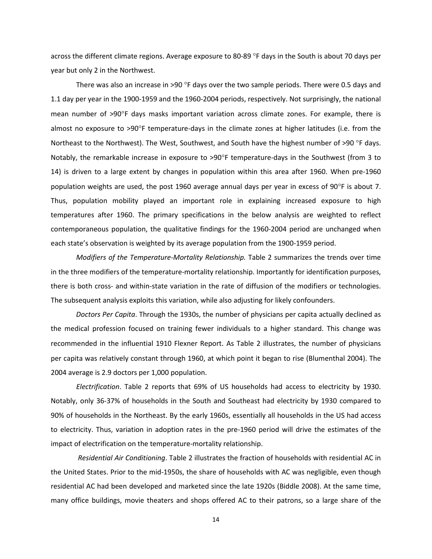across the different climate regions. Average exposure to 80-89 °F days in the South is about 70 days per year but only 2 in the Northwest.

There was also an increase in >90 °F days over the two sample periods. There were 0.5 days and 1.1 day per year in the 1900-1959 and the 1960-2004 periods, respectively. Not surprisingly, the national mean number of >90°F days masks important variation across climate zones. For example, there is almost no exposure to >90°F temperature-days in the climate zones at higher latitudes (i.e. from the Northeast to the Northwest). The West, Southwest, and South have the highest number of >90  $\degree$ F days. Notably, the remarkable increase in exposure to >90°F temperature-days in the Southwest (from 3 to 14) is driven to a large extent by changes in population within this area after 1960. When pre-1960 population weights are used, the post 1960 average annual days per year in excess of 90°F is about 7. Thus, population mobility played an important role in explaining increased exposure to high temperatures after 1960. The primary specifications in the below analysis are weighted to reflect contemporaneous population, the qualitative findings for the 1960-2004 period are unchanged when each state's observation is weighted by its average population from the 1900-1959 period.

*Modifiers of the Temperature-Mortality Relationship.* Table 2 summarizes the trends over time in the three modifiers of the temperature-mortality relationship. Importantly for identification purposes, there is both cross- and within-state variation in the rate of diffusion of the modifiers or technologies. The subsequent analysis exploits this variation, while also adjusting for likely confounders.

*Doctors Per Capita*. Through the 1930s, the number of physicians per capita actually declined as the medical profession focused on training fewer individuals to a higher standard. This change was recommended in the influential 1910 Flexner Report. As Table 2 illustrates, the number of physicians per capita was relatively constant through 1960, at which point it began to rise (Blumenthal 2004). The 2004 average is 2.9 doctors per 1,000 population.

*Electrification*. Table 2 reports that 69% of US households had access to electricity by 1930. Notably, only 36-37% of households in the South and Southeast had electricity by 1930 compared to 90% of households in the Northeast. By the early 1960s, essentially all households in the US had access to electricity. Thus, variation in adoption rates in the pre-1960 period will drive the estimates of the impact of electrification on the temperature-mortality relationship.

*Residential Air Conditioning*. Table 2 illustrates the fraction of households with residential AC in the United States. Prior to the mid-1950s, the share of households with AC was negligible, even though residential AC had been developed and marketed since the late 1920s (Biddle 2008). At the same time, many office buildings, movie theaters and shops offered AC to their patrons, so a large share of the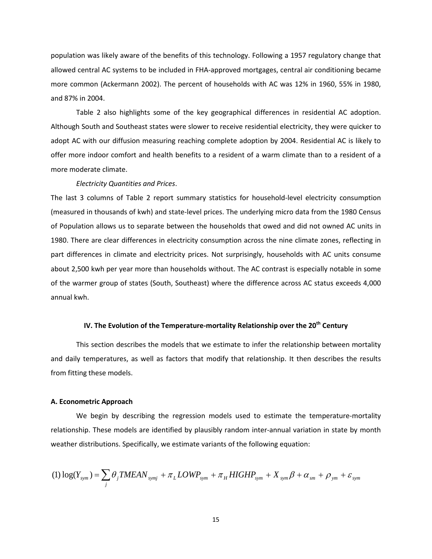population was likely aware of the benefits of this technology. Following a 1957 regulatory change that allowed central AC systems to be included in FHA-approved mortgages, central air conditioning became more common (Ackermann 2002). The percent of households with AC was 12% in 1960, 55% in 1980, and 87% in 2004.

Table 2 also highlights some of the key geographical differences in residential AC adoption. Although South and Southeast states were slower to receive residential electricity, they were quicker to adopt AC with our diffusion measuring reaching complete adoption by 2004. Residential AC is likely to offer more indoor comfort and health benefits to a resident of a warm climate than to a resident of a more moderate climate.

#### *Electricity Quantities and Prices*.

The last 3 columns of Table 2 report summary statistics for household-level electricity consumption (measured in thousands of kwh) and state-level prices. The underlying micro data from the 1980 Census of Population allows us to separate between the households that owed and did not owned AC units in 1980. There are clear differences in electricity consumption across the nine climate zones, reflecting in part differences in climate and electricity prices. Not surprisingly, households with AC units consume about 2,500 kwh per year more than households without. The AC contrast is especially notable in some of the warmer group of states (South, Southeast) where the difference across AC status exceeds 4,000 annual kwh.

#### **IV. The Evolution of the Temperature-mortality Relationship over the 20th Century**

This section describes the models that we estimate to infer the relationship between mortality and daily temperatures, as well as factors that modify that relationship. It then describes the results from fitting these models.

#### **A. Econometric Approach**

We begin by describing the regression models used to estimate the temperature-mortality relationship. These models are identified by plausibly random inter-annual variation in state by month weather distributions. Specifically, we estimate variants of the following equation:

(1) 
$$
\log(Y_{sym}) = \sum_{j} \theta_{j} \text{TMEAN}_{symj} + \pi_{L} \text{LOWP}_{sym} + \pi_{H} \text{HIGHP}_{sym} + X_{sym} \beta + \alpha_{sm} + \rho_{ym} + \varepsilon_{sym}
$$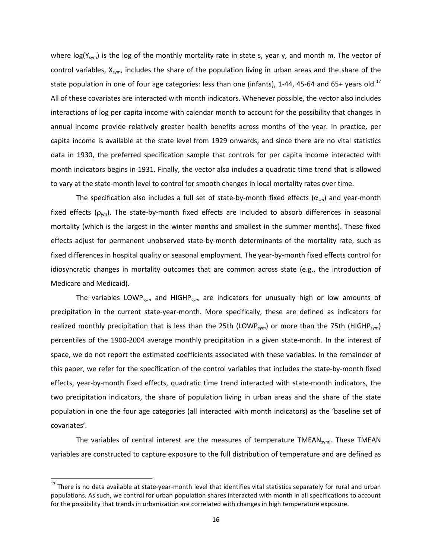where  $log(Y_{sym})$  is the log of the monthly mortality rate in state s, year y, and month m. The vector of control variables, X<sub>sym</sub>, includes the share of the population living in urban areas and the share of the state population in one of four age categories: less than one (infants), 1-44, 45-64 and 65+ years old.<sup>[17](#page-17-0)</sup> All of these covariates are interacted with month indicators. Whenever possible, the vector also includes interactions of log per capita income with calendar month to account for the possibility that changes in annual income provide relatively greater health benefits across months of the year. In practice, per capita income is available at the state level from 1929 onwards, and since there are no vital statistics data in 1930, the preferred specification sample that controls for per capita income interacted with month indicators begins in 1931. Finally, the vector also includes a quadratic time trend that is allowed to vary at the state-month level to control for smooth changes in local mortality rates over time.

The specification also includes a full set of state-by-month fixed effects (α*sm*) and year-month fixed effects (ρ*ym*). The state-by-month fixed effects are included to absorb differences in seasonal mortality (which is the largest in the winter months and smallest in the summer months). These fixed effects adjust for permanent unobserved state-by-month determinants of the mortality rate, such as fixed differences in hospital quality or seasonal employment. The year-by-month fixed effects control for idiosyncratic changes in mortality outcomes that are common across state (e.g., the introduction of Medicare and Medicaid).

The variables LOWP*sym* and HIGHP*sym* are indicators for unusually high or low amounts of precipitation in the current state-year-month. More specifically, these are defined as indicators for realized monthly precipitation that is less than the 25th (LOWP*sym*) or more than the 75th (HIGHP*sym*) percentiles of the 1900-2004 average monthly precipitation in a given state-month. In the interest of space, we do not report the estimated coefficients associated with these variables. In the remainder of this paper, we refer for the specification of the control variables that includes the state-by-month fixed effects, year-by-month fixed effects, quadratic time trend interacted with state-month indicators, the two precipitation indicators, the share of population living in urban areas and the share of the state population in one the four age categories (all interacted with month indicators) as the 'baseline set of covariates'.

The variables of central interest are the measures of temperature TMEAN<sub>symi</sub>. These TMEAN variables are constructed to capture exposure to the full distribution of temperature and are defined as

<span id="page-17-0"></span> $17$  There is no data available at state-year-month level that identifies vital statistics separately for rural and urban populations. As such, we control for urban population shares interacted with month in all specifications to account for the possibility that trends in urbanization are correlated with changes in high temperature exposure.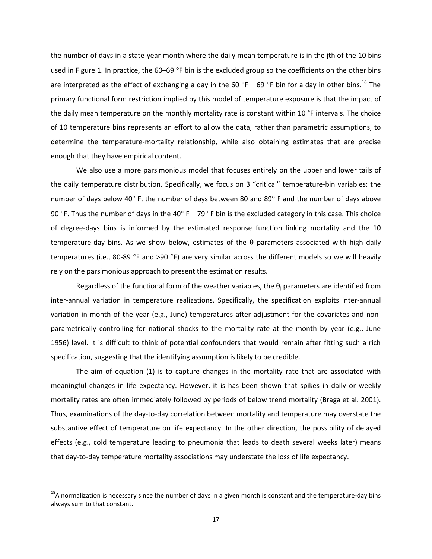the number of days in a state-year-month where the daily mean temperature is in the jth of the 10 bins used in Figure 1. In practice, the 60–69 °F bin is the excluded group so the coefficients on the other bins are interpreted as the effect of exchanging a day in the 60 °F – 69 °F bin for a day in other bins.<sup>[18](#page-18-0)</sup> The primary functional form restriction implied by this model of temperature exposure is that the impact of the daily mean temperature on the monthly mortality rate is constant within 10 °F intervals. The choice of 10 temperature bins represents an effort to allow the data, rather than parametric assumptions, to determine the temperature-mortality relationship, while also obtaining estimates that are precise enough that they have empirical content.

We also use a more parsimonious model that focuses entirely on the upper and lower tails of the daily temperature distribution. Specifically, we focus on 3 "critical" temperature-bin variables: the number of days below 40° F, the number of days between 80 and 89° F and the number of days above 90 °F. Thus the number of days in the 40° F – 79° F bin is the excluded category in this case. This choice of degree-days bins is informed by the estimated response function linking mortality and the 10 temperature-day bins. As we show below, estimates of the  $\theta$  parameters associated with high daily temperatures (i.e., 80-89  $\degree$ F and >90  $\degree$ F) are very similar across the different models so we will heavily rely on the parsimonious approach to present the estimation results.

Regardless of the functional form of the weather variables, the  $\theta_i$  parameters are identified from inter-annual variation in temperature realizations. Specifically, the specification exploits inter-annual variation in month of the year (e.g., June) temperatures after adjustment for the covariates and nonparametrically controlling for national shocks to the mortality rate at the month by year (e.g., June 1956) level. It is difficult to think of potential confounders that would remain after fitting such a rich specification, suggesting that the identifying assumption is likely to be credible.

The aim of equation (1) is to capture changes in the mortality rate that are associated with meaningful changes in life expectancy. However, it is has been shown that spikes in daily or weekly mortality rates are often immediately followed by periods of below trend mortality (Braga et al. 2001). Thus, examinations of the day-to-day correlation between mortality and temperature may overstate the substantive effect of temperature on life expectancy. In the other direction, the possibility of delayed effects (e.g., cold temperature leading to pneumonia that leads to death several weeks later) means that day-to-day temperature mortality associations may understate the loss of life expectancy.

<span id="page-18-0"></span> $18$ A normalization is necessary since the number of days in a given month is constant and the temperature-day bins always sum to that constant.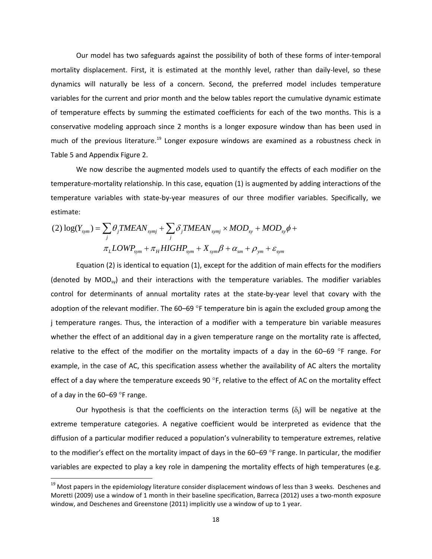Our model has two safeguards against the possibility of both of these forms of inter-temporal mortality displacement. First, it is estimated at the monthly level, rather than daily-level, so these dynamics will naturally be less of a concern. Second, the preferred model includes temperature variables for the current and prior month and the below tables report the cumulative dynamic estimate of temperature effects by summing the estimated coefficients for each of the two months. This is a conservative modeling approach since 2 months is a longer exposure window than has been used in much of the previous literature.<sup>[19](#page-19-0)</sup> Longer exposure windows are examined as a robustness check in Table 5 and Appendix Figure 2.

We now describe the augmented models used to quantify the effects of each modifier on the temperature-mortality relationship. In this case, equation (1) is augmented by adding interactions of the temperature variables with state-by-year measures of our three modifier variables. Specifically, we estimate:

$$
(2) \log(Y_{sym}) = \sum_{j} \theta_{j} \text{TMEAN}_{symj} + \sum_{j} \delta_{j} \text{TMEAN}_{symj} \times \text{MOD}_{sy} + \text{MOD}_{sy} \phi +
$$

$$
\pi_{L} \text{LOWP}_{sym} + \pi_{H} \text{HIGHP}_{sym} + X_{sym} \beta + \alpha_{sm} + \rho_{ym} + \varepsilon_{sym}
$$

Equation (2) is identical to equation (1), except for the addition of main effects for the modifiers (denoted by  $MOD_{sv}$ ) and their interactions with the temperature variables. The modifier variables control for determinants of annual mortality rates at the state-by-year level that covary with the adoption of the relevant modifier. The 60–69 °F temperature bin is again the excluded group among the j temperature ranges. Thus, the interaction of a modifier with a temperature bin variable measures whether the effect of an additional day in a given temperature range on the mortality rate is affected, relative to the effect of the modifier on the mortality impacts of a day in the 60–69 °F range. For example, in the case of AC, this specification assess whether the availability of AC alters the mortality effect of a day where the temperature exceeds 90 °F, relative to the effect of AC on the mortality effect of a day in the 60–69 °F range.

Our hypothesis is that the coefficients on the interaction terms  $(\delta_i)$  will be negative at the extreme temperature categories. A negative coefficient would be interpreted as evidence that the diffusion of a particular modifier reduced a population's vulnerability to temperature extremes, relative to the modifier's effect on the mortality impact of days in the 60–69 °F range. In particular, the modifier variables are expected to play a key role in dampening the mortality effects of high temperatures (e.g.

<span id="page-19-0"></span><sup>&</sup>lt;sup>19</sup> Most papers in the epidemiology literature consider displacement windows of less than 3 weeks. Deschenes and Moretti (2009) use a window of 1 month in their baseline specification, Barreca (2012) uses a two-month exposure window, and Deschenes and Greenstone (2011) implicitly use a window of up to 1 year.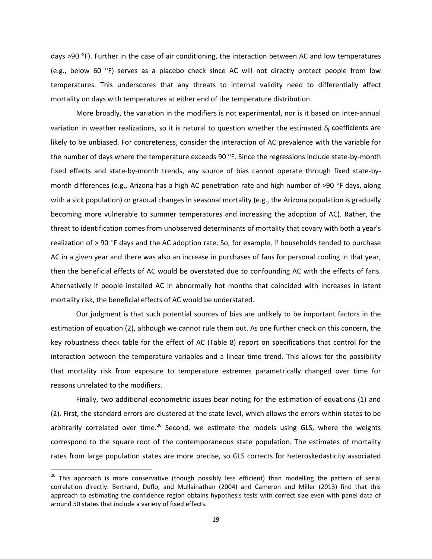days >90  $\degree$ F). Further in the case of air conditioning, the interaction between AC and low temperatures (e.g., below 60 °F) serves as a placebo check since AC will not directly protect people from low temperatures. This underscores that any threats to internal validity need to differentially affect mortality on days with temperatures at either end of the temperature distribution.

More broadly, the variation in the modifiers is not experimental, nor is it based on inter-annual variation in weather realizations, so it is natural to question whether the estimated  $\delta_i$  coefficients are likely to be unbiased. For concreteness, consider the interaction of AC prevalence with the variable for the number of days where the temperature exceeds 90 °F. Since the regressions include state-by-month fixed effects and state-by-month trends, any source of bias cannot operate through fixed state-bymonth differences (e.g., Arizona has a high AC penetration rate and high number of >90 °F days, along with a sick population) or gradual changes in seasonal mortality (e.g., the Arizona population is gradually becoming more vulnerable to summer temperatures and increasing the adoption of AC). Rather, the threat to identification comes from unobserved determinants of mortality that covary with both a year's realization of > 90 °F days and the AC adoption rate. So, for example, if households tended to purchase AC in a given year and there was also an increase in purchases of fans for personal cooling in that year, then the beneficial effects of AC would be overstated due to confounding AC with the effects of fans. Alternatively if people installed AC in abnormally hot months that coincided with increases in latent mortality risk, the beneficial effects of AC would be understated.

Our judgment is that such potential sources of bias are unlikely to be important factors in the estimation of equation (2), although we cannot rule them out. As one further check on this concern, the key robustness check table for the effect of AC (Table 8) report on specifications that control for the interaction between the temperature variables and a linear time trend. This allows for the possibility that mortality risk from exposure to temperature extremes parametrically changed over time for reasons unrelated to the modifiers.

Finally, two additional econometric issues bear noting for the estimation of equations (1) and (2). First, the standard errors are clustered at the state level, which allows the errors within states to be arbitrarily correlated over time.<sup>[20](#page-20-0)</sup> Second, we estimate the models using GLS, where the weights correspond to the square root of the contemporaneous state population. The estimates of mortality rates from large population states are more precise, so GLS corrects for heteroskedasticity associated

<span id="page-20-0"></span><sup>&</sup>lt;sup>20</sup> This approach is more conservative (though possibly less efficient) than modelling the pattern of serial correlation directly. Bertrand, Duflo, and Mullainathan (2004) and Cameron and Miller (2013) find that this approach to estimating the confidence region obtains hypothesis tests with correct size even with panel data of around 50 states that include a variety of fixed effects.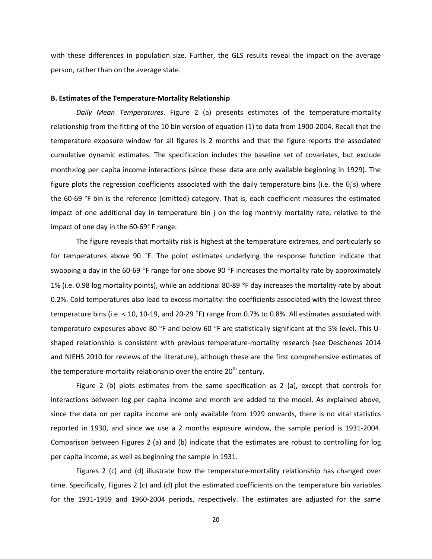with these differences in population size. Further, the GLS results reveal the impact on the average person, rather than on the average state.

#### **B. Estimates of the Temperature-Mortality Relationship**

*Daily Mean Temperatures.* Figure 2 (a) presents estimates of the temperature-mortality relationship from the fitting of the 10 bin version of equation (1) to data from 1900-2004. Recall that the temperature exposure window for all figures is 2 months and that the figure reports the associated cumulative dynamic estimates. The specification includes the baseline set of covariates, but exclude month×log per capita income interactions (since these data are only available beginning in 1929). The figure plots the regression coefficients associated with the daily temperature bins (i.e. the  $\theta_i$ 's) where the 60-69 °F bin is the reference (omitted) category. That is, each coefficient measures the estimated impact of one additional day in temperature bin j on the log monthly mortality rate, relative to the impact of one day in the 60-69° F range.

The figure reveals that mortality risk is highest at the temperature extremes, and particularly so for temperatures above 90 °F. The point estimates underlying the response function indicate that swapping a day in the 60-69 °F range for one above 90 °F increases the mortality rate by approximately 1% (i.e. 0.98 log mortality points), while an additional 80-89 °F day increases the mortality rate by about 0.2%. Cold temperatures also lead to excess mortality: the coefficients associated with the lowest three temperature bins (i.e. < 10, 10-19, and 20-29 °F) range from 0.7% to 0.8%. All estimates associated with temperature exposures above 80 °F and below 60 °F are statistically significant at the 5% level. This Ushaped relationship is consistent with previous temperature-mortality research (see Deschenes 2014 and NIEHS 2010 for reviews of the literature), although these are the first comprehensive estimates of the temperature-mortality relationship over the entire  $20<sup>th</sup>$  century.

Figure 2 (b) plots estimates from the same specification as 2 (a), except that controls for interactions between log per capita income and month are added to the model. As explained above, since the data on per capita income are only available from 1929 onwards, there is no vital statistics reported in 1930, and since we use a 2 months exposure window, the sample period is 1931-2004. Comparison between Figures 2 (a) and (b) indicate that the estimates are robust to controlling for log per capita income, as well as beginning the sample in 1931.

Figures 2 (c) and (d) illustrate how the temperature-mortality relationship has changed over time. Specifically, Figures 2 (c) and (d) plot the estimated coefficients on the temperature bin variables for the 1931-1959 and 1960-2004 periods, respectively. The estimates are adjusted for the same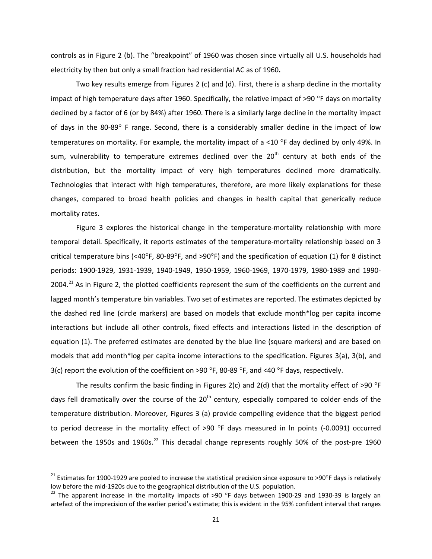controls as in Figure 2 (b). The "breakpoint" of 1960 was chosen since virtually all U.S. households had electricity by then but only a small fraction had residential AC as of 1960**.** 

Two key results emerge from Figures 2 (c) and (d). First, there is a sharp decline in the mortality impact of high temperature days after 1960. Specifically, the relative impact of  $>90$  °F days on mortality declined by a factor of 6 (or by 84%) after 1960. There is a similarly large decline in the mortality impact of days in the 80-89° F range. Second, there is a considerably smaller decline in the impact of low temperatures on mortality. For example, the mortality impact of a <10 °F day declined by only 49%. In sum, vulnerability to temperature extremes declined over the  $20<sup>th</sup>$  century at both ends of the distribution, but the mortality impact of very high temperatures declined more dramatically. Technologies that interact with high temperatures, therefore, are more likely explanations for these changes, compared to broad health policies and changes in health capital that generically reduce mortality rates.

Figure 3 explores the historical change in the temperature-mortality relationship with more temporal detail. Specifically, it reports estimates of the temperature-mortality relationship based on 3 critical temperature bins (<40°F, 80-89°F, and >90°F) and the specification of equation (1) for 8 distinct periods: 1900-1929, 1931-1939, 1940-1949, 1950-1959, 1960-1969, 1970-1979, 1980-1989 and 1990- 2004.<sup>[21](#page-22-0)</sup> As in Figure 2, the plotted coefficients represent the sum of the coefficients on the current and lagged month's temperature bin variables. Two set of estimates are reported. The estimates depicted by the dashed red line (circle markers) are based on models that exclude month\*log per capita income interactions but include all other controls, fixed effects and interactions listed in the description of equation (1). The preferred estimates are denoted by the blue line (square markers) and are based on models that add month\*log per capita income interactions to the specification. Figures 3(a), 3(b), and 3(c) report the evolution of the coefficient on >90 °F, 80-89 °F, and <40 °F days, respectively.

The results confirm the basic finding in Figures 2(c) and 2(d) that the mortality effect of >90 °F days fell dramatically over the course of the  $20<sup>th</sup>$  century, especially compared to colder ends of the temperature distribution. Moreover, Figures 3 (a) provide compelling evidence that the biggest period to period decrease in the mortality effect of >90 °F days measured in ln points (-0.0091) occurred between the 1950s and 1960s.<sup>[22](#page-22-1)</sup> This decadal change represents roughly 50% of the post-pre 1960

 $\overline{a}$ 

<span id="page-22-0"></span><sup>&</sup>lt;sup>21</sup> Estimates for 1900-1929 are pooled to increase the statistical precision since exposure to >90°F days is relatively low before the mid-1920s due to the geographical distribution of the U.S. population.

<span id="page-22-1"></span><sup>&</sup>lt;sup>22</sup> The apparent increase in the mortality impacts of >90 °F days between 1900-29 and 1930-39 is largely an artefact of the imprecision of the earlier period's estimate; this is evident in the 95% confident interval that ranges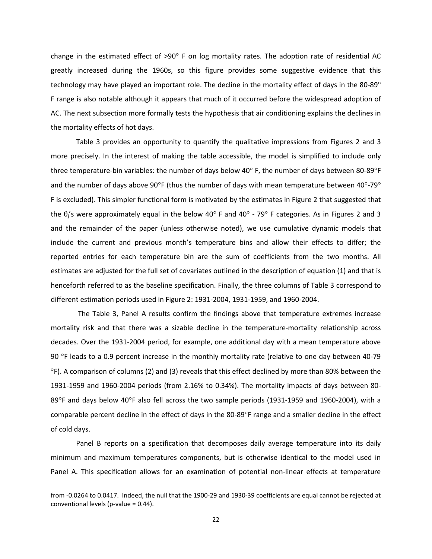change in the estimated effect of >90° F on log mortality rates. The adoption rate of residential AC greatly increased during the 1960s, so this figure provides some suggestive evidence that this technology may have played an important role. The decline in the mortality effect of days in the 80-89° F range is also notable although it appears that much of it occurred before the widespread adoption of AC. The next subsection more formally tests the hypothesis that air conditioning explains the declines in the mortality effects of hot days.

Table 3 provides an opportunity to quantify the qualitative impressions from Figures 2 and 3 more precisely. In the interest of making the table accessible, the model is simplified to include only three temperature-bin variables: the number of days below 40° F, the number of days between 80-89°F and the number of days above 90°F (thus the number of days with mean temperature between 40°-79° F is excluded). This simpler functional form is motivated by the estimates in Figure 2 that suggested that the  $\theta_1$ 's were approximately equal in the below 40° F and 40° - 79° F categories. As in Figures 2 and 3 and the remainder of the paper (unless otherwise noted), we use cumulative dynamic models that include the current and previous month's temperature bins and allow their effects to differ; the reported entries for each temperature bin are the sum of coefficients from the two months. All estimates are adjusted for the full set of covariates outlined in the description of equation (1) and that is henceforth referred to as the baseline specification. Finally, the three columns of Table 3 correspond to different estimation periods used in Figure 2: 1931-2004, 1931-1959, and 1960-2004.

The Table 3, Panel A results confirm the findings above that temperature extremes increase mortality risk and that there was a sizable decline in the temperature-mortality relationship across decades. Over the 1931-2004 period, for example, one additional day with a mean temperature above 90 °F leads to a 0.9 percent increase in the monthly mortality rate (relative to one day between 40-79 °F). A comparison of columns (2) and (3) reveals that this effect declined by more than 80% between the 1931-1959 and 1960-2004 periods (from 2.16% to 0.34%). The mortality impacts of days between 80- 89°F and days below 40°F also fell across the two sample periods (1931-1959 and 1960-2004), with a comparable percent decline in the effect of days in the 80-89°F range and a smaller decline in the effect of cold days.

Panel B reports on a specification that decomposes daily average temperature into its daily minimum and maximum temperatures components, but is otherwise identical to the model used in Panel A. This specification allows for an examination of potential non-linear effects at temperature

 $\overline{a}$ 

from -0.0264 to 0.0417. Indeed, the null that the 1900-29 and 1930-39 coefficients are equal cannot be rejected at conventional levels (p-value = 0.44).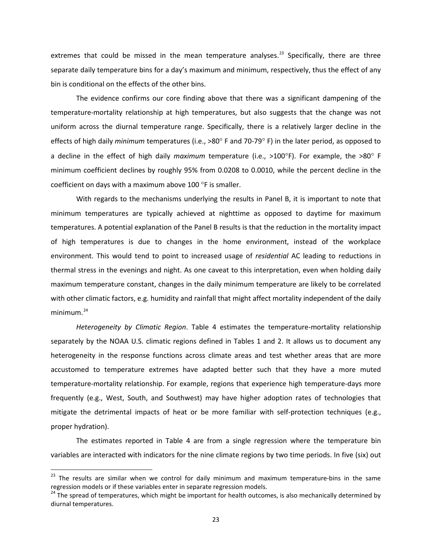extremes that could be missed in the mean temperature analyses.<sup>[23](#page-24-0)</sup> Specifically, there are three separate daily temperature bins for a day's maximum and minimum, respectively, thus the effect of any bin is conditional on the effects of the other bins.

The evidence confirms our core finding above that there was a significant dampening of the temperature-mortality relationship at high temperatures, but also suggests that the change was not uniform across the diurnal temperature range. Specifically, there is a relatively larger decline in the effects of high daily *minimum* temperatures (i.e., >80° F and 70-79° F) in the later period, as opposed to a decline in the effect of high daily *maximum* temperature (i.e., >100°F). For example, the >80° F minimum coefficient declines by roughly 95% from 0.0208 to 0.0010, while the percent decline in the coefficient on days with a maximum above 100 °F is smaller.

With regards to the mechanisms underlying the results in Panel B, it is important to note that minimum temperatures are typically achieved at nighttime as opposed to daytime for maximum temperatures. A potential explanation of the Panel B results is that the reduction in the mortality impact of high temperatures is due to changes in the home environment, instead of the workplace environment. This would tend to point to increased usage of *residential* AC leading to reductions in thermal stress in the evenings and night. As one caveat to this interpretation, even when holding daily maximum temperature constant, changes in the daily minimum temperature are likely to be correlated with other climatic factors, e.g. humidity and rainfall that might affect mortality independent of the daily minimum. $^{24}$  $^{24}$  $^{24}$ 

*Heterogeneity by Climatic Region*. Table 4 estimates the temperature-mortality relationship separately by the NOAA U.S. climatic regions defined in Tables 1 and 2. It allows us to document any heterogeneity in the response functions across climate areas and test whether areas that are more accustomed to temperature extremes have adapted better such that they have a more muted temperature-mortality relationship. For example, regions that experience high temperature-days more frequently (e.g., West, South, and Southwest) may have higher adoption rates of technologies that mitigate the detrimental impacts of heat or be more familiar with self-protection techniques (e.g., proper hydration).

The estimates reported in Table 4 are from a single regression where the temperature bin variables are interacted with indicators for the nine climate regions by two time periods. In five (six) out

<span id="page-24-0"></span><sup>&</sup>lt;sup>23</sup> The results are similar when we control for daily minimum and maximum temperature-bins in the same regression models or if these variables enter in separate regression models.

<span id="page-24-1"></span> $24$  The spread of temperatures, which might be important for health outcomes, is also mechanically determined by diurnal temperatures.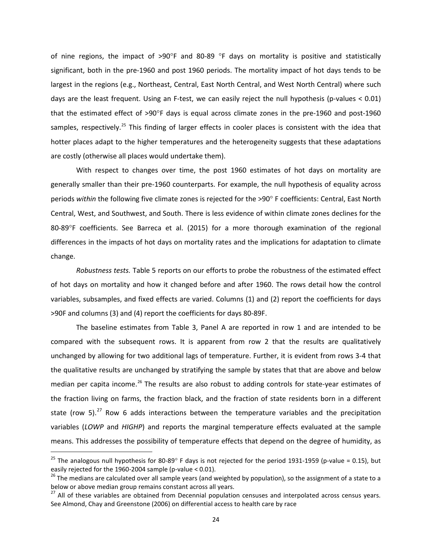of nine regions, the impact of  $>90^{\circ}F$  and 80-89  $^{\circ}F$  days on mortality is positive and statistically significant, both in the pre-1960 and post 1960 periods. The mortality impact of hot days tends to be largest in the regions (e.g., Northeast, Central, East North Central, and West North Central) where such days are the least frequent. Using an F-test, we can easily reject the null hypothesis (p-values < 0.01) that the estimated effect of >90°F days is equal across climate zones in the pre-1960 and post-1960 samples, respectively.<sup>[25](#page-25-0)</sup> This finding of larger effects in cooler places is consistent with the idea that hotter places adapt to the higher temperatures and the heterogeneity suggests that these adaptations are costly (otherwise all places would undertake them).

With respect to changes over time, the post 1960 estimates of hot days on mortality are generally smaller than their pre-1960 counterparts. For example, the null hypothesis of equality across periods *within* the following five climate zones is rejected for the >90° F coefficients: Central, East North Central, West, and Southwest, and South. There is less evidence of within climate zones declines for the 80-89°F coefficients. See Barreca et al. (2015) for a more thorough examination of the regional differences in the impacts of hot days on mortality rates and the implications for adaptation to climate change.

*Robustness tests.* Table 5 reports on our efforts to probe the robustness of the estimated effect of hot days on mortality and how it changed before and after 1960. The rows detail how the control variables, subsamples, and fixed effects are varied. Columns (1) and (2) report the coefficients for days >90F and columns (3) and (4) report the coefficients for days 80-89F.

The baseline estimates from Table 3, Panel A are reported in row 1 and are intended to be compared with the subsequent rows. It is apparent from row 2 that the results are qualitatively unchanged by allowing for two additional lags of temperature. Further, it is evident from rows 3-4 that the qualitative results are unchanged by stratifying the sample by states that that are above and below median per capita income.<sup>[26](#page-25-1)</sup> The results are also robust to adding controls for state-year estimates of the fraction living on farms, the fraction black, and the fraction of state residents born in a different state (row 5).<sup>[27](#page-25-2)</sup> Row 6 adds interactions between the temperature variables and the precipitation variables (*LOWP* and *HIGHP*) and reports the marginal temperature effects evaluated at the sample means. This addresses the possibility of temperature effects that depend on the degree of humidity, as

 $\overline{a}$ 

<span id="page-25-0"></span><sup>&</sup>lt;sup>25</sup> The analogous null hypothesis for 80-89° F days is not rejected for the period 1931-1959 (p-value = 0.15), but easily rejected for the 1960-2004 sample (p-value < 0.01).

<span id="page-25-1"></span> $26$  The medians are calculated over all sample years (and weighted by population), so the assignment of a state to a below or above median group remains constant across all years.

<span id="page-25-2"></span><sup>&</sup>lt;sup>27</sup> All of these variables are obtained from Decennial population censuses and interpolated across census years. See Almond, Chay and Greenstone (2006) on differential access to health care by race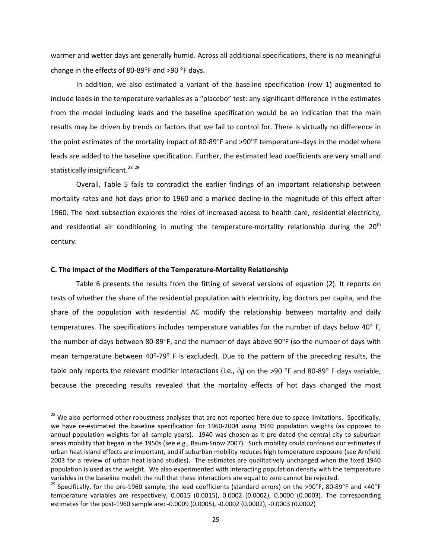warmer and wetter days are generally humid. Across all additional specifications, there is no meaningful change in the effects of 80-89°F and >90 °F days.

In addition, we also estimated a variant of the baseline specification (row 1) augmented to include leads in the temperature variables as a "placebo" test: any significant difference in the estimates from the model including leads and the baseline specification would be an indication that the main results may be driven by trends or factors that we fail to control for. There is virtually no difference in the point estimates of the mortality impact of 80-89°F and >90°F temperature-days in the model where leads are added to the baseline specification. Further, the estimated lead coefficients are very small and statistically insignificant.<sup>[28](#page-26-0) [29](#page-26-1)</sup>

Overall, Table 5 fails to contradict the earlier findings of an important relationship between mortality rates and hot days prior to 1960 and a marked decline in the magnitude of this effect after 1960. The next subsection explores the roles of increased access to health care, residential electricity, and residential air conditioning in muting the temperature-mortality relationship during the 20<sup>th</sup> century.

#### **C. The Impact of the Modifiers of the Temperature-Mortality Relationship**

Table 6 presents the results from the fitting of several versions of equation (2). It reports on tests of whether the share of the residential population with electricity, log doctors per capita, and the share of the population with residential AC modify the relationship between mortality and daily temperatures. The specifications includes temperature variables for the number of days below 40° F, the number of days between 80-89°F, and the number of days above 90°F (so the number of days with mean temperature between 40°-79° F is excluded). Due to the pattern of the preceding results, the table only reports the relevant modifier interactions (i.e.,  $\delta_i$ ) on the >90 °F and 80-89° F days variable, because the preceding results revealed that the mortality effects of hot days changed the most

<span id="page-26-0"></span> $^{28}$  We also performed other robustness analyses that are not reported here due to space limitations. Specifically, we have re-estimated the baseline specification for 1960-2004 using 1940 population weights (as opposed to annual population weights for all sample years). 1940 was chosen as it pre-dated the central city to suburban areas mobility that began in the 1950s (see e.g., Baum-Snow 2007). Such mobility could confound our estimates if urban heat island effects are important, and if suburban mobility reduces high temperature exposure (see Arnfield 2003 for a review of urban heat island studies). The estimates are qualitatively unchanged when the fixed 1940 population is used as the weight. We also experimented with interacting population density with the temperature variables in the baseline model: the null that these interactions are equal to zero cannot be rejected.

<span id="page-26-1"></span><sup>&</sup>lt;sup>29</sup> Specifically, for the pre-1960 sample, the lead coefficients (standard errors) on the >90°F, 80-89°F and <40°F temperature variables are respectively, 0.0015 (0.0015), 0.0002 (0.0002), 0.0000 (0.0003). The corresponding estimates for the post-1960 sample are: -0.0009 (0.0005), -0.0002 (0.0002), -0.0003 (0.0002)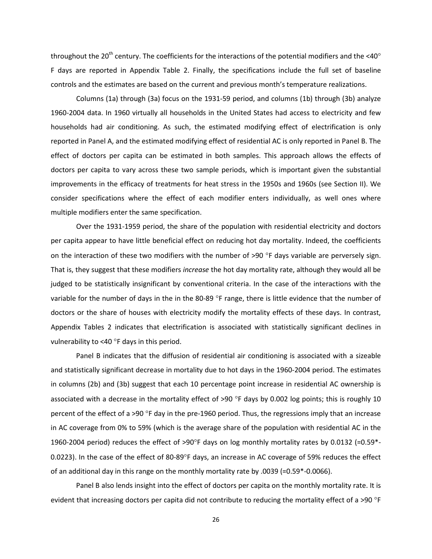throughout the 20<sup>th</sup> century. The coefficients for the interactions of the potential modifiers and the <40 $\degree$ F days are reported in Appendix Table 2. Finally, the specifications include the full set of baseline controls and the estimates are based on the current and previous month's temperature realizations.

Columns (1a) through (3a) focus on the 1931-59 period, and columns (1b) through (3b) analyze 1960-2004 data. In 1960 virtually all households in the United States had access to electricity and few households had air conditioning. As such, the estimated modifying effect of electrification is only reported in Panel A, and the estimated modifying effect of residential AC is only reported in Panel B. The effect of doctors per capita can be estimated in both samples. This approach allows the effects of doctors per capita to vary across these two sample periods, which is important given the substantial improvements in the efficacy of treatments for heat stress in the 1950s and 1960s (see Section II). We consider specifications where the effect of each modifier enters individually, as well ones where multiple modifiers enter the same specification.

Over the 1931-1959 period, the share of the population with residential electricity and doctors per capita appear to have little beneficial effect on reducing hot day mortality. Indeed, the coefficients on the interaction of these two modifiers with the number of >90 °F days variable are perversely sign. That is, they suggest that these modifiers *increase* the hot day mortality rate, although they would all be judged to be statistically insignificant by conventional criteria. In the case of the interactions with the variable for the number of days in the in the 80-89 °F range, there is little evidence that the number of doctors or the share of houses with electricity modify the mortality effects of these days. In contrast, Appendix Tables 2 indicates that electrification is associated with statistically significant declines in vulnerability to <40 °F days in this period.

Panel B indicates that the diffusion of residential air conditioning is associated with a sizeable and statistically significant decrease in mortality due to hot days in the 1960-2004 period. The estimates in columns (2b) and (3b) suggest that each 10 percentage point increase in residential AC ownership is associated with a decrease in the mortality effect of >90 °F days by 0.002 log points; this is roughly 10 percent of the effect of a >90 °F day in the pre-1960 period. Thus, the regressions imply that an increase in AC coverage from 0% to 59% (which is the average share of the population with residential AC in the 1960-2004 period) reduces the effect of >90°F days on log monthly mortality rates by 0.0132 (=0.59\*- 0.0223). In the case of the effect of 80-89°F days, an increase in AC coverage of 59% reduces the effect of an additional day in this range on the monthly mortality rate by .0039 (=0.59\*-0.0066).

Panel B also lends insight into the effect of doctors per capita on the monthly mortality rate. It is evident that increasing doctors per capita did not contribute to reducing the mortality effect of a >90 °F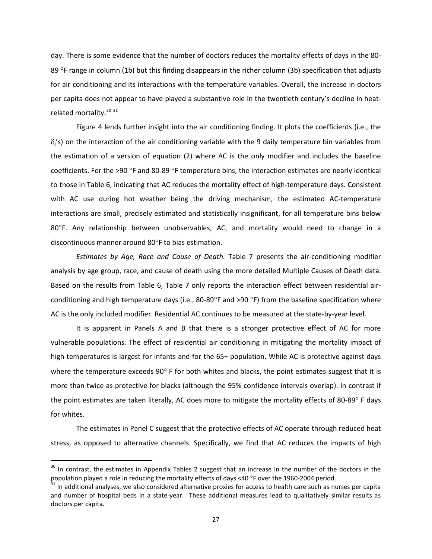day. There is some evidence that the number of doctors reduces the mortality effects of days in the 80- 89  $\degree$ F range in column (1b) but this finding disappears in the richer column (3b) specification that adjusts for air conditioning and its interactions with the temperature variables. Overall, the increase in doctors per capita does not appear to have played a substantive role in the twentieth century's decline in heat-related mortality.<sup>[30](#page-28-0)</sup> [31](#page-28-1)

Figure 4 lends further insight into the air conditioning finding. It plots the coefficients (i.e., the  $\delta_i$ 's) on the interaction of the air conditioning variable with the 9 daily temperature bin variables from the estimation of a version of equation (2) where AC is the only modifier and includes the baseline coefficients. For the >90 °F and 80-89 °F temperature bins, the interaction estimates are nearly identical to those in Table 6, indicating that AC reduces the mortality effect of high-temperature days. Consistent with AC use during hot weather being the driving mechanism, the estimated AC-temperature interactions are small, precisely estimated and statistically insignificant, for all temperature bins below 80°F. Any relationship between unobservables, AC, and mortality would need to change in a discontinuous manner around 80°F to bias estimation.

*Estimates by Age, Race and Cause of Death.* Table 7 presents the air-conditioning modifier analysis by age group, race, and cause of death using the more detailed Multiple Causes of Death data. Based on the results from Table 6, Table 7 only reports the interaction effect between residential airconditioning and high temperature days (i.e., 80-89 $\degree$ F and >90  $\degree$ F) from the baseline specification where AC is the only included modifier. Residential AC continues to be measured at the state-by-year level.

It is apparent in Panels A and B that there is a stronger protective effect of AC for more vulnerable populations. The effect of residential air conditioning in mitigating the mortality impact of high temperatures is largest for infants and for the 65+ population. While AC is protective against days where the temperature exceeds 90° F for both whites and blacks, the point estimates suggest that it is more than twice as protective for blacks (although the 95% confidence intervals overlap). In contrast if the point estimates are taken literally, AC does more to mitigate the mortality effects of 80-89° F days for whites.

The estimates in Panel C suggest that the protective effects of AC operate through reduced heat stress, as opposed to alternative channels. Specifically, we find that AC reduces the impacts of high

<span id="page-28-0"></span> $30$  In contrast, the estimates in Appendix Tables 2 suggest that an increase in the number of the doctors in the population played a role in reducing the mortality effects of days <40  $\degree$ F over the 1960-2004 period.<br><sup>31</sup> In additional analyses, we also considered alternative proxies for access to health care such as nurses per capi

<span id="page-28-1"></span>and number of hospital beds in a state-year. These additional measures lead to qualitatively similar results as doctors per capita.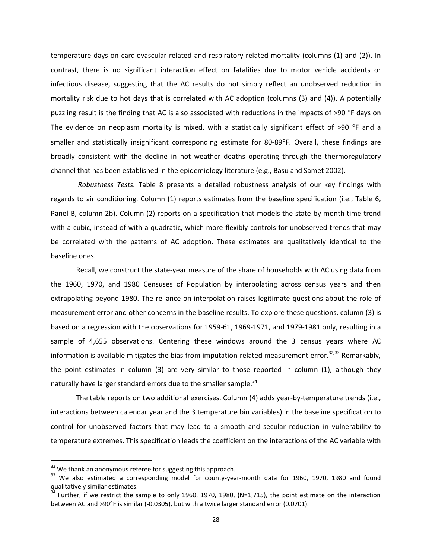temperature days on cardiovascular-related and respiratory-related mortality (columns (1) and (2)). In contrast, there is no significant interaction effect on fatalities due to motor vehicle accidents or infectious disease, suggesting that the AC results do not simply reflect an unobserved reduction in mortality risk due to hot days that is correlated with AC adoption (columns (3) and (4)). A potentially puzzling result is the finding that AC is also associated with reductions in the impacts of >90 °F days on The evidence on neoplasm mortality is mixed, with a statistically significant effect of >90 °F and a smaller and statistically insignificant corresponding estimate for 80-89°F. Overall, these findings are broadly consistent with the decline in hot weather deaths operating through the thermoregulatory channel that has been established in the epidemiology literature (e.g., Basu and Samet 2002).

*Robustness Tests.* Table 8 presents a detailed robustness analysis of our key findings with regards to air conditioning. Column (1) reports estimates from the baseline specification (i.e., Table 6, Panel B, column 2b). Column (2) reports on a specification that models the state-by-month time trend with a cubic, instead of with a quadratic, which more flexibly controls for unobserved trends that may be correlated with the patterns of AC adoption. These estimates are qualitatively identical to the baseline ones.

Recall, we construct the state-year measure of the share of households with AC using data from the 1960, 1970, and 1980 Censuses of Population by interpolating across census years and then extrapolating beyond 1980. The reliance on interpolation raises legitimate questions about the role of measurement error and other concerns in the baseline results. To explore these questions, column (3) is based on a regression with the observations for 1959-61, 1969-1971, and 1979-1981 only, resulting in a sample of 4,655 observations. Centering these windows around the 3 census years where AC information is available mitigates the bias from imputation-related measurement error.<sup>[32,](#page-29-0)[33](#page-29-1)</sup> Remarkably, the point estimates in column (3) are very similar to those reported in column (1), although they naturally have larger standard errors due to the smaller sample.<sup>[34](#page-29-2)</sup>

The table reports on two additional exercises. Column (4) adds year-by-temperature trends (i.e., interactions between calendar year and the 3 temperature bin variables) in the baseline specification to control for unobserved factors that may lead to a smooth and secular reduction in vulnerability to temperature extremes. This specification leads the coefficient on the interactions of the AC variable with

<span id="page-29-1"></span>

<span id="page-29-0"></span> $32$  We thank an anonymous referee for suggesting this approach.<br> $33$  We also estimated a corresponding model for county-year-month data for 1960, 1970, 1980 and found qualitatively similar estimates.

<span id="page-29-2"></span> $34$  Further, if we restrict the sample to only 1960, 1970, 1980, (N=1,715), the point estimate on the interaction between AC and >90°F is similar (-0.0305), but with a twice larger standard error (0.0701).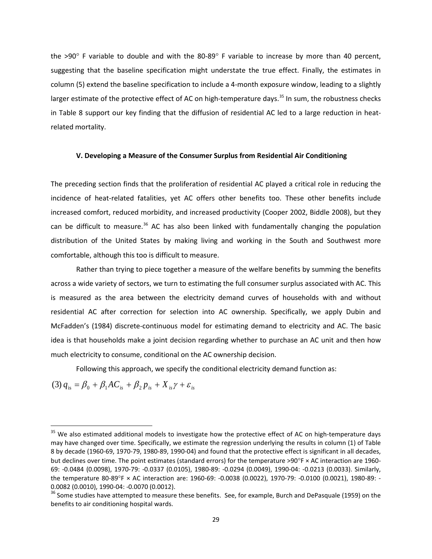the >90° F variable to double and with the 80-89° F variable to increase by more than 40 percent, suggesting that the baseline specification might understate the true effect. Finally, the estimates in column (5) extend the baseline specification to include a 4-month exposure window, leading to a slightly larger estimate of the protective effect of AC on high-temperature days.<sup>[35](#page-30-0)</sup> In sum, the robustness checks in Table 8 support our key finding that the diffusion of residential AC led to a large reduction in heatrelated mortality.

#### **V. Developing a Measure of the Consumer Surplus from Residential Air Conditioning**

The preceding section finds that the proliferation of residential AC played a critical role in reducing the incidence of heat-related fatalities, yet AC offers other benefits too. These other benefits include increased comfort, reduced morbidity, and increased productivity (Cooper 2002, Biddle 2008), but they can be difficult to measure.<sup>[36](#page-30-1)</sup> AC has also been linked with fundamentally changing the population distribution of the United States by making living and working in the South and Southwest more comfortable, although this too is difficult to measure.

Rather than trying to piece together a measure of the welfare benefits by summing the benefits across a wide variety of sectors, we turn to estimating the full consumer surplus associated with AC. This is measured as the area between the electricity demand curves of households with and without residential AC after correction for selection into AC ownership. Specifically, we apply Dubin and McFadden's (1984) discrete-continuous model for estimating demand to electricity and AC. The basic idea is that households make a joint decision regarding whether to purchase an AC unit and then how much electricity to consume, conditional on the AC ownership decision.

Following this approach, we specify the conditional electricity demand function as:

 $i(\mathbf{3}) q_{\rm is} = \beta_0 + \beta_1 A C_{\rm is} + \beta_2 p_{\rm is} + X_{\rm is} \gamma + \varepsilon_{\rm is}$ 

<span id="page-30-0"></span><sup>&</sup>lt;sup>35</sup> We also estimated additional models to investigate how the protective effect of AC on high-temperature days may have changed over time. Specifically, we estimate the regression underlying the results in column (1) of Table 8 by decade (1960-69, 1970-79, 1980-89, 1990-04) and found that the protective effect is significant in all decades, but declines over time. The point estimates (standard errors) for the temperature >90°F × AC interaction are 1960-69: -0.0484 (0.0098), 1970-79: -0.0337 (0.0105), 1980-89: -0.0294 (0.0049), 1990-04: -0.0213 (0.0033). Similarly, the temperature 80-89°F × AC interaction are: 1960-69: -0.0038 (0.0022), 1970-79: -0.0100 (0.0021), 1980-89: - 0.0082 (0.0010), 1990-04: -0.0070 (0.0012).<br><sup>36</sup> Some studies have attempted to measure these benefits. See, for example, Burch and DePasquale (1959) on the

<span id="page-30-1"></span>benefits to air conditioning hospital wards.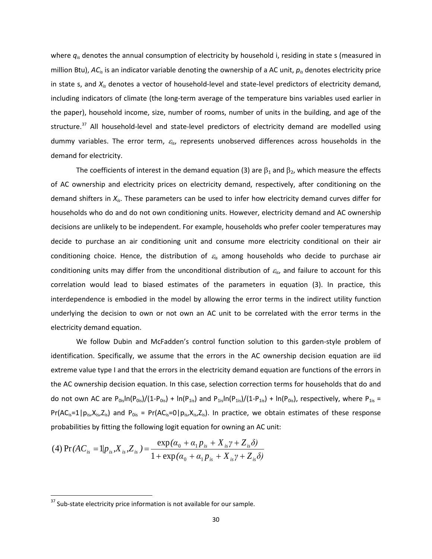where  $q_{is}$  denotes the annual consumption of electricity by household i, residing in state s (measured in million Btu), *ACis* is an indicator variable denoting the ownership of a AC unit, *pis* denotes electricity price in state s, and *Xis* denotes a vector of household-level and state-level predictors of electricity demand, including indicators of climate (the long-term average of the temperature bins variables used earlier in the paper), household income, size, number of rooms, number of units in the building, and age of the structure.<sup>[37](#page-31-0)</sup> All household-level and state-level predictors of electricity demand are modelled using dummy variables. The error term, <sup>ε</sup>*is*, represents unobserved differences across households in the demand for electricity.

The coefficients of interest in the demand equation (3) are  $\beta_1$  and  $\beta_2$ , which measure the effects of AC ownership and electricity prices on electricity demand, respectively, after conditioning on the demand shifters in *Xis*. These parameters can be used to infer how electricity demand curves differ for households who do and do not own conditioning units. However, electricity demand and AC ownership decisions are unlikely to be independent. For example, households who prefer cooler temperatures may decide to purchase an air conditioning unit and consume more electricity conditional on their air conditioning choice. Hence, the distribution of <sup>ε</sup>*is* among households who decide to purchase air conditioning units may differ from the unconditional distribution of <sup>ε</sup>*is*, and failure to account for this correlation would lead to biased estimates of the parameters in equation (3). In practice, this interdependence is embodied in the model by allowing the error terms in the indirect utility function underlying the decision to own or not own an AC unit to be correlated with the error terms in the electricity demand equation.

We follow Dubin and McFadden's control function solution to this garden-style problem of identification. Specifically, we assume that the errors in the AC ownership decision equation are iid extreme value type I and that the errors in the electricity demand equation are functions of the errors in the AC ownership decision equation. In this case, selection correction terms for households that do and do not own AC are  $P_{0is}$ ln( $P_{0is}$ )/(1- $P_{0is}$ ) + ln( $P_{1is}$ ) and  $P_{1is}$ ln( $P_{1is}$ )/(1- $P_{1is}$ ) + ln( $P_{0is}$ ), respectively, where  $P_{1is}$  =  $Pr(AC_{is}=1|p_{is},X_{is},Z_{is})$  and  $P_{0is} = Pr(AC_{is}=0|p_{is},X_{is},Z_{is})$ . In practice, we obtain estimates of these response probabilities by fitting the following logit equation for owning an AC unit:

(4) 
$$
\Pr(AC_{is} = 1/p_{is}, X_{is}, Z_{is}) = \frac{\exp(\alpha_0 + \alpha_1 p_{is} + X_{is} \gamma + Z_{is} \delta)}{1 + \exp(\alpha_0 + \alpha_1 p_{is} + X_{is} \gamma + Z_{is} \delta)}
$$

<span id="page-31-0"></span> $37$  Sub-state electricity price information is not available for our sample.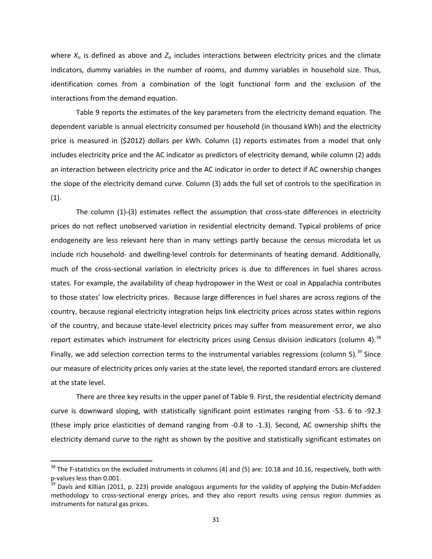where  $X_{is}$  is defined as above and  $Z_{is}$  includes interactions between electricity prices and the climate indicators, dummy variables in the number of rooms, and dummy variables in household size. Thus, identification comes from a combination of the logit functional form and the exclusion of the interactions from the demand equation.

Table 9 reports the estimates of the key parameters from the electricity demand equation. The dependent variable is annual electricity consumed per household (in thousand kWh) and the electricity price is measured in (\$2012) dollars per kWh. Column (1) reports estimates from a model that only includes electricity price and the AC indicator as predictors of electricity demand, while column (2) adds an interaction between electricity price and the AC indicator in order to detect if AC ownership changes the slope of the electricity demand curve. Column (3) adds the full set of controls to the specification in (1).

The column (1)-(3) estimates reflect the assumption that cross-state differences in electricity prices do not reflect unobserved variation in residential electricity demand. Typical problems of price endogeneity are less relevant here than in many settings partly because the census microdata let us include rich household- and dwelling-level controls for determinants of heating demand. Additionally, much of the cross-sectional variation in electricity prices is due to differences in fuel shares across states. For example, the availability of cheap hydropower in the West or coal in Appalachia contributes to those states' low electricity prices. Because large differences in fuel shares are across regions of the country, because regional electricity integration helps link electricity prices across states within regions of the country, and because state-level electricity prices may suffer from measurement error, we also report estimates which instrument for electricity prices using Census division indicators (column 4).<sup>[38](#page-32-0)</sup> Finally, we add selection correction terms to the instrumental variables regressions (column 5).<sup>[39](#page-32-1)</sup> Since our measure of electricity prices only varies at the state level, the reported standard errors are clustered at the state level.

There are three key results in the upper panel of Table 9. First, the residential electricity demand curve is downward sloping, with statistically significant point estimates ranging from -53. 6 to -92.3 (these imply price elasticities of demand ranging from -0.8 to -1.3). Second, AC ownership shifts the electricity demand curve to the right as shown by the positive and statistically significant estimates on

<span id="page-32-0"></span> $38$  The F-statistics on the excluded instruments in columns (4) and (5) are: 10.18 and 10.16, respectively, both with p-values less than 0.001.<br><sup>39</sup> Davis and Killian (2011, p. 223) provide analogous arguments for the validity of applying the Dubin-McFadden

<span id="page-32-1"></span>methodology to cross-sectional energy prices, and they also report results using census region dummies as instruments for natural gas prices.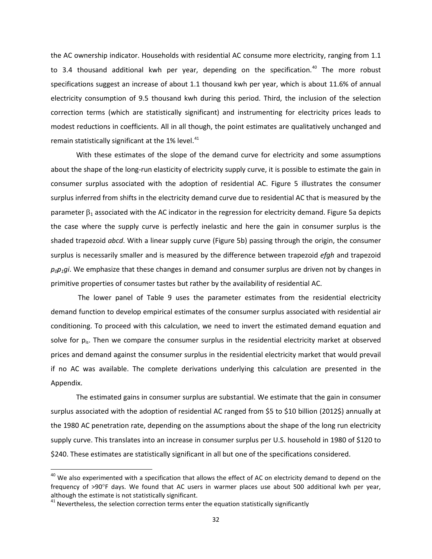the AC ownership indicator. Households with residential AC consume more electricity, ranging from 1.1 to 3.4 thousand additional kwh per year, depending on the specification.<sup>[40](#page-33-0)</sup> The more robust specifications suggest an increase of about 1.1 thousand kwh per year, which is about 11.6% of annual electricity consumption of 9.5 thousand kwh during this period. Third, the inclusion of the selection correction terms (which are statistically significant) and instrumenting for electricity prices leads to modest reductions in coefficients. All in all though, the point estimates are qualitatively unchanged and remain statistically significant at the 1% level. $41$ 

With these estimates of the slope of the demand curve for electricity and some assumptions about the shape of the long-run elasticity of electricity supply curve, it is possible to estimate the gain in consumer surplus associated with the adoption of residential AC. Figure 5 illustrates the consumer surplus inferred from shifts in the electricity demand curve due to residential AC that is measured by the parameter  $\beta_1$  associated with the AC indicator in the regression for electricity demand. Figure 5a depicts the case where the supply curve is perfectly inelastic and here the gain in consumer surplus is the shaded trapezoid *abcd*. With a linear supply curve (Figure 5b) passing through the origin, the consumer surplus is necessarily smaller and is measured by the difference between trapezoid *efgh* and trapezoid  $p_0p_1qi$ . We emphasize that these changes in demand and consumer surplus are driven not by changes in primitive properties of consumer tastes but rather by the availability of residential AC.

The lower panel of Table 9 uses the parameter estimates from the residential electricity demand function to develop empirical estimates of the consumer surplus associated with residential air conditioning. To proceed with this calculation, we need to invert the estimated demand equation and solve for  $p_{is}$ . Then we compare the consumer surplus in the residential electricity market at observed prices and demand against the consumer surplus in the residential electricity market that would prevail if no AC was available. The complete derivations underlying this calculation are presented in the Appendix.

The estimated gains in consumer surplus are substantial. We estimate that the gain in consumer surplus associated with the adoption of residential AC ranged from \$5 to \$10 billion (2012\$) annually at the 1980 AC penetration rate, depending on the assumptions about the shape of the long run electricity supply curve. This translates into an increase in consumer surplus per U.S. household in 1980 of \$120 to \$240. These estimates are statistically significant in all but one of the specifications considered.

<span id="page-33-0"></span> $40$  We also experimented with a specification that allows the effect of AC on electricity demand to depend on the frequency of >90°F days. We found that AC users in warmer places use about 500 additional kwh per year, although the estimate is not statistically significant.

<span id="page-33-1"></span> $41$  Nevertheless, the selection correction terms enter the equation statistically significantly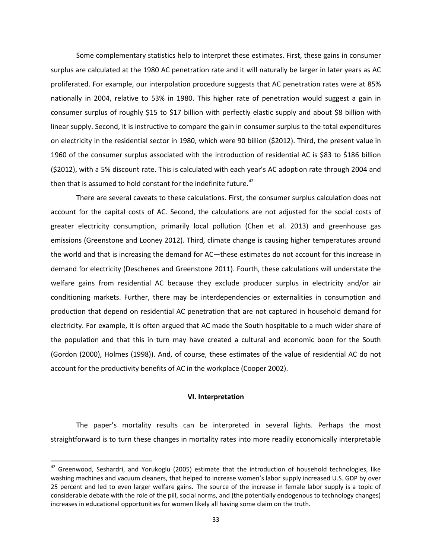Some complementary statistics help to interpret these estimates. First, these gains in consumer surplus are calculated at the 1980 AC penetration rate and it will naturally be larger in later years as AC proliferated. For example, our interpolation procedure suggests that AC penetration rates were at 85% nationally in 2004, relative to 53% in 1980. This higher rate of penetration would suggest a gain in consumer surplus of roughly \$15 to \$17 billion with perfectly elastic supply and about \$8 billion with linear supply. Second, it is instructive to compare the gain in consumer surplus to the total expenditures on electricity in the residential sector in 1980, which were 90 billion (\$2012). Third, the present value in 1960 of the consumer surplus associated with the introduction of residential AC is \$83 to \$186 billion (\$2012), with a 5% discount rate. This is calculated with each year's AC adoption rate through 2004 and then that is assumed to hold constant for the indefinite future.<sup>[42](#page-34-0)</sup>

There are several caveats to these calculations. First, the consumer surplus calculation does not account for the capital costs of AC. Second, the calculations are not adjusted for the social costs of greater electricity consumption, primarily local pollution (Chen et al. 2013) and greenhouse gas emissions (Greenstone and Looney 2012). Third, climate change is causing higher temperatures around the world and that is increasing the demand for AC—these estimates do not account for this increase in demand for electricity (Deschenes and Greenstone 2011). Fourth, these calculations will understate the welfare gains from residential AC because they exclude producer surplus in electricity and/or air conditioning markets. Further, there may be interdependencies or externalities in consumption and production that depend on residential AC penetration that are not captured in household demand for electricity. For example, it is often argued that AC made the South hospitable to a much wider share of the population and that this in turn may have created a cultural and economic boon for the South (Gordon (2000), Holmes (1998)). And, of course, these estimates of the value of residential AC do not account for the productivity benefits of AC in the workplace (Cooper 2002).

#### **VI. Interpretation**

The paper's mortality results can be interpreted in several lights. Perhaps the most straightforward is to turn these changes in mortality rates into more readily economically interpretable

<span id="page-34-0"></span> $42$  Greenwood, Seshardri, and Yorukoglu (2005) estimate that the introduction of household technologies, like washing machines and vacuum cleaners, that helped to increase women's labor supply increased U.S. GDP by over 25 percent and led to even larger welfare gains. The source of the increase in female labor supply is a topic of considerable debate with the role of the pill, social norms, and (the potentially endogenous to technology changes) increases in educational opportunities for women likely all having some claim on the truth.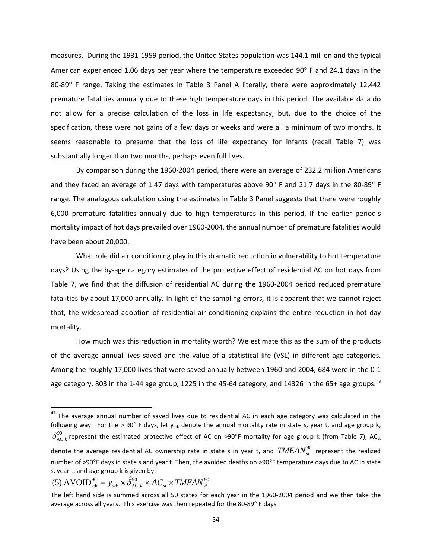measures. During the 1931-1959 period, the United States population was 144.1 million and the typical American experienced 1.06 days per year where the temperature exceeded 90° F and 24.1 days in the 80-89° F range. Taking the estimates in Table 3 Panel A literally, there were approximately 12,442 premature fatalities annually due to these high temperature days in this period. The available data do not allow for a precise calculation of the loss in life expectancy, but, due to the choice of the specification, these were not gains of a few days or weeks and were all a minimum of two months. It seems reasonable to presume that the loss of life expectancy for infants (recall Table 7) was substantially longer than two months, perhaps even full lives.

By comparison during the 1960-2004 period, there were an average of 232.2 million Americans and they faced an average of 1.47 days with temperatures above 90° F and 21.7 days in the 80-89° F range. The analogous calculation using the estimates in Table 3 Panel suggests that there were roughly 6,000 premature fatalities annually due to high temperatures in this period. If the earlier period's mortality impact of hot days prevailed over 1960-2004, the annual number of premature fatalities would have been about 20,000.

What role did air conditioning play in this dramatic reduction in vulnerability to hot temperature days? Using the by-age category estimates of the protective effect of residential AC on hot days from Table 7, we find that the diffusion of residential AC during the 1960-2004 period reduced premature fatalities by about 17,000 annually. In light of the sampling errors, it is apparent that we cannot reject that, the widespread adoption of residential air conditioning explains the entire reduction in hot day mortality.

How much was this reduction in mortality worth? We estimate this as the sum of the products of the average annual lives saved and the value of a statistical life (VSL) in different age categories. Among the roughly 17,000 lives that were saved annually between 1960 and 2004, 684 were in the 0-1 age category, 803 in the 1-44 age group, 1225 in the 45-64 category, and 1[43](#page-35-0)26 in the 65+ age groups.<sup>43</sup>

$$
(5) \,\mathrm{AVOID}_{\text{stk}}^{90} = y_{\text{stk}} \times \hat{\delta}_{\text{AC},k}^{90} \times AC_{\text{st}} \times \text{TMEAN}_{\text{st}}^{90}
$$

<span id="page-35-0"></span><sup>&</sup>lt;sup>43</sup> The average annual number of saved lives due to residential AC in each age category was calculated in the following way. For the > 90° F days, let  $y_{stk}$  denote the annual mortality rate in state s, year t, and age group k,  $\delta_{AC,k}^{90}$  represent the estimated protective effect of AC on >90°F mortality for age group k (from Table 7), AC<sub>st</sub> denote the average residential AC ownership rate in state s in year t, and  $\emph{THEAN}_{st}^{\text{90}}$  represent the realized number of >90°F days in state s and year t. Then, the avoided deaths on >90°F temperature days due to AC in state s, year t, and age group k is given by:

The left hand side is summed across all 50 states for each year in the 1960-2004 period and we then take the average across all years. This exercise was then repeated for the 80-89° F days .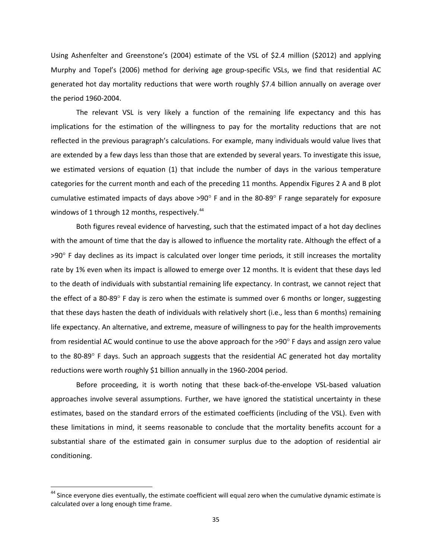Using Ashenfelter and Greenstone's (2004) estimate of the VSL of \$2.4 million (\$2012) and applying Murphy and Topel's (2006) method for deriving age group-specific VSLs, we find that residential AC generated hot day mortality reductions that were worth roughly \$7.4 billion annually on average over the period 1960-2004.

The relevant VSL is very likely a function of the remaining life expectancy and this has implications for the estimation of the willingness to pay for the mortality reductions that are not reflected in the previous paragraph's calculations. For example, many individuals would value lives that are extended by a few days less than those that are extended by several years. To investigate this issue, we estimated versions of equation (1) that include the number of days in the various temperature categories for the current month and each of the preceding 11 months. Appendix Figures 2 A and B plot cumulative estimated impacts of days above >90° F and in the 80-89° F range separately for exposure windows of 1 through 12 months, respectively.<sup>[44](#page-36-0)</sup>

Both figures reveal evidence of harvesting, such that the estimated impact of a hot day declines with the amount of time that the day is allowed to influence the mortality rate. Although the effect of a  $>90^\circ$  F day declines as its impact is calculated over longer time periods, it still increases the mortality rate by 1% even when its impact is allowed to emerge over 12 months. It is evident that these days led to the death of individuals with substantial remaining life expectancy. In contrast, we cannot reject that the effect of a 80-89° F day is zero when the estimate is summed over 6 months or longer, suggesting that these days hasten the death of individuals with relatively short (i.e., less than 6 months) remaining life expectancy. An alternative, and extreme, measure of willingness to pay for the health improvements from residential AC would continue to use the above approach for the >90° F days and assign zero value to the 80-89° F days. Such an approach suggests that the residential AC generated hot day mortality reductions were worth roughly \$1 billion annually in the 1960-2004 period.

Before proceeding, it is worth noting that these back-of-the-envelope VSL-based valuation approaches involve several assumptions. Further, we have ignored the statistical uncertainty in these estimates, based on the standard errors of the estimated coefficients (including of the VSL). Even with these limitations in mind, it seems reasonable to conclude that the mortality benefits account for a substantial share of the estimated gain in consumer surplus due to the adoption of residential air conditioning.

<span id="page-36-0"></span><sup>&</sup>lt;sup>44</sup> Since everyone dies eventually, the estimate coefficient will equal zero when the cumulative dynamic estimate is calculated over a long enough time frame.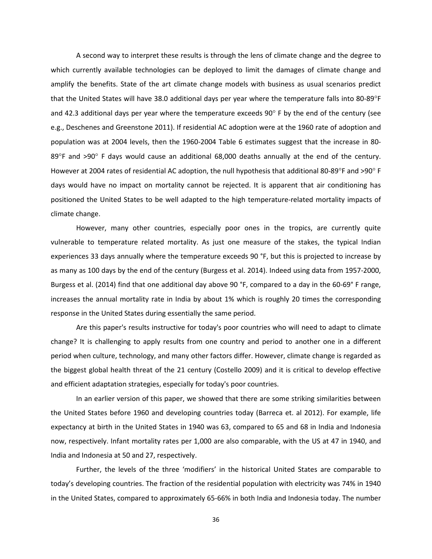A second way to interpret these results is through the lens of climate change and the degree to which currently available technologies can be deployed to limit the damages of climate change and amplify the benefits. State of the art climate change models with business as usual scenarios predict that the United States will have 38.0 additional days per year where the temperature falls into 80-89°F and 42.3 additional days per year where the temperature exceeds 90° F by the end of the century (see e.g., Deschenes and Greenstone 2011). If residential AC adoption were at the 1960 rate of adoption and population was at 2004 levels, then the 1960-2004 Table 6 estimates suggest that the increase in 80- 89°F and >90°F days would cause an additional 68,000 deaths annually at the end of the century. However at 2004 rates of residential AC adoption, the null hypothesis that additional 80-89°F and >90° F days would have no impact on mortality cannot be rejected. It is apparent that air conditioning has positioned the United States to be well adapted to the high temperature-related mortality impacts of climate change.

However, many other countries, especially poor ones in the tropics, are currently quite vulnerable to temperature related mortality. As just one measure of the stakes, the typical Indian experiences 33 days annually where the temperature exceeds 90 °F, but this is projected to increase by as many as 100 days by the end of the century (Burgess et al. 2014). Indeed using data from 1957-2000, Burgess et al. (2014) find that one additional day above 90 °F, compared to a day in the 60-69° F range, increases the annual mortality rate in India by about 1% which is roughly 20 times the corresponding response in the United States during essentially the same period.

Are this paper's results instructive for today's poor countries who will need to adapt to climate change? It is challenging to apply results from one country and period to another one in a different period when culture, technology, and many other factors differ. However, climate change is regarded as the biggest global health threat of the 21 century (Costello 2009) and it is critical to develop effective and efficient adaptation strategies, especially for today's poor countries.

In an earlier version of this paper, we showed that there are some striking similarities between the United States before 1960 and developing countries today (Barreca et. al 2012). For example, life expectancy at birth in the United States in 1940 was 63, compared to 65 and 68 in India and Indonesia now, respectively. Infant mortality rates per 1,000 are also comparable, with the US at 47 in 1940, and India and Indonesia at 50 and 27, respectively.

Further, the levels of the three 'modifiers' in the historical United States are comparable to today's developing countries. The fraction of the residential population with electricity was 74% in 1940 in the United States, compared to approximately 65-66% in both India and Indonesia today. The number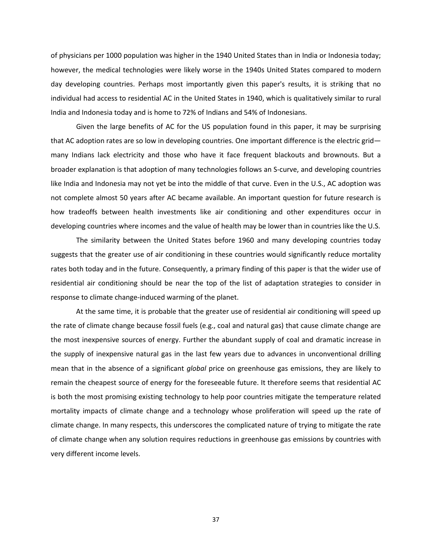of physicians per 1000 population was higher in the 1940 United States than in India or Indonesia today; however, the medical technologies were likely worse in the 1940s United States compared to modern day developing countries. Perhaps most importantly given this paper's results, it is striking that no individual had access to residential AC in the United States in 1940, which is qualitatively similar to rural India and Indonesia today and is home to 72% of Indians and 54% of Indonesians.

Given the large benefits of AC for the US population found in this paper, it may be surprising that AC adoption rates are so low in developing countries. One important difference is the electric grid many Indians lack electricity and those who have it face frequent blackouts and brownouts. But a broader explanation is that adoption of many technologies follows an S-curve, and developing countries like India and Indonesia may not yet be into the middle of that curve. Even in the U.S., AC adoption was not complete almost 50 years after AC became available. An important question for future research is how tradeoffs between health investments like air conditioning and other expenditures occur in developing countries where incomes and the value of health may be lower than in countries like the U.S.

The similarity between the United States before 1960 and many developing countries today suggests that the greater use of air conditioning in these countries would significantly reduce mortality rates both today and in the future. Consequently, a primary finding of this paper is that the wider use of residential air conditioning should be near the top of the list of adaptation strategies to consider in response to climate change-induced warming of the planet.

At the same time, it is probable that the greater use of residential air conditioning will speed up the rate of climate change because fossil fuels (e.g., coal and natural gas) that cause climate change are the most inexpensive sources of energy. Further the abundant supply of coal and dramatic increase in the supply of inexpensive natural gas in the last few years due to advances in unconventional drilling mean that in the absence of a significant *global* price on greenhouse gas emissions, they are likely to remain the cheapest source of energy for the foreseeable future. It therefore seems that residential AC is both the most promising existing technology to help poor countries mitigate the temperature related mortality impacts of climate change and a technology whose proliferation will speed up the rate of climate change. In many respects, this underscores the complicated nature of trying to mitigate the rate of climate change when any solution requires reductions in greenhouse gas emissions by countries with very different income levels.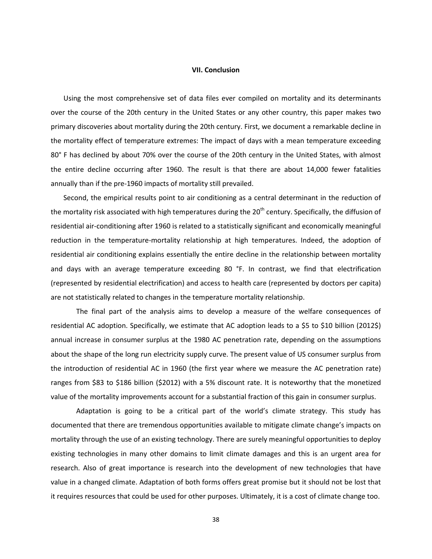#### **VII. Conclusion**

Using the most comprehensive set of data files ever compiled on mortality and its determinants over the course of the 20th century in the United States or any other country, this paper makes two primary discoveries about mortality during the 20th century. First, we document a remarkable decline in the mortality effect of temperature extremes: The impact of days with a mean temperature exceeding 80° F has declined by about 70% over the course of the 20th century in the United States, with almost the entire decline occurring after 1960. The result is that there are about 14,000 fewer fatalities annually than if the pre-1960 impacts of mortality still prevailed.

Second, the empirical results point to air conditioning as a central determinant in the reduction of the mortality risk associated with high temperatures during the 20<sup>th</sup> century. Specifically, the diffusion of residential air-conditioning after 1960 is related to a statistically significant and economically meaningful reduction in the temperature-mortality relationship at high temperatures. Indeed, the adoption of residential air conditioning explains essentially the entire decline in the relationship between mortality and days with an average temperature exceeding 80 °F. In contrast, we find that electrification (represented by residential electrification) and access to health care (represented by doctors per capita) are not statistically related to changes in the temperature mortality relationship.

The final part of the analysis aims to develop a measure of the welfare consequences of residential AC adoption. Specifically, we estimate that AC adoption leads to a \$5 to \$10 billion (2012\$) annual increase in consumer surplus at the 1980 AC penetration rate, depending on the assumptions about the shape of the long run electricity supply curve. The present value of US consumer surplus from the introduction of residential AC in 1960 (the first year where we measure the AC penetration rate) ranges from \$83 to \$186 billion (\$2012) with a 5% discount rate. It is noteworthy that the monetized value of the mortality improvements account for a substantial fraction of this gain in consumer surplus.

Adaptation is going to be a critical part of the world's climate strategy. This study has documented that there are tremendous opportunities available to mitigate climate change's impacts on mortality through the use of an existing technology. There are surely meaningful opportunities to deploy existing technologies in many other domains to limit climate damages and this is an urgent area for research. Also of great importance is research into the development of new technologies that have value in a changed climate. Adaptation of both forms offers great promise but it should not be lost that it requires resources that could be used for other purposes. Ultimately, it is a cost of climate change too.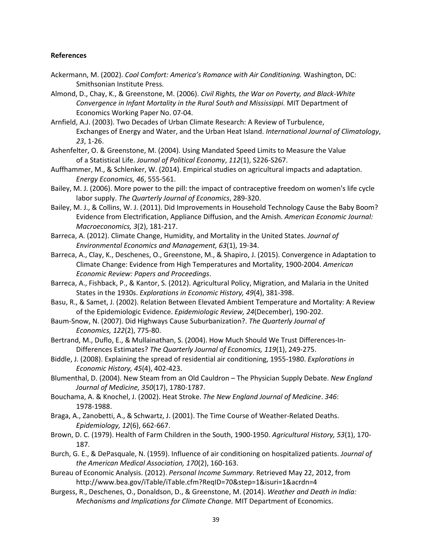#### **References**

- Ackermann, M. (2002). *Cool Comfort: America's Romance with Air Conditioning.* Washington, DC: Smithsonian Institute Press.
- Almond, D., Chay, K., & Greenstone, M. (2006). *Civil Rights, the War on Poverty, and Black-White Convergence in Infant Mortality in the Rural South and Mississippi.* MIT Department of Economics Working Paper No. 07-04.
- Arnfield, A.J. (2003). Two Decades of Urban Climate Research: A Review of Turbulence, Exchanges of Energy and Water, and the Urban Heat Island. *International Journal of Climatology*, *23*, 1-26.
- Ashenfelter, O. & Greenstone, M. (2004). Using Mandated Speed Limits to Measure the Value of a Statistical Life. *Journal of Political Economy*, *112*(1), S226-S267.
- Auffhammer, M., & Schlenker, W. (2014). Empirical studies on agricultural impacts and adaptation. *Energy Economics, 46*, 555-561.
- Bailey, M. J. (2006). More power to the pill: the impact of contraceptive freedom on women's life cycle labor supply. *The Quarterly Journal of Economics*, 289-320.
- Bailey, M. J., & Collins, W. J. (2011). Did Improvements in Household Technology Cause the Baby Boom? Evidence from Electrification, Appliance Diffusion, and the Amish. *American Economic Journal: Macroeconomics, 3*(2), 181-217.
- Barreca, A. (2012). Climate Change, Humidity, and Mortality in the United States. *Journal of Environmental Economics and Management, 63*(1), 19-34.
- Barreca, A., Clay, K., Deschenes, O., Greenstone, M., & Shapiro, J. (2015). Convergence in Adaptation to Climate Change: Evidence from High Temperatures and Mortality, 1900-2004. *American Economic Review: Papers and Proceedings*.
- Barreca, A., Fishback, P., & Kantor, S. (2012). Agricultural Policy, Migration, and Malaria in the United States in the 1930s. *Explorations in Economic History, 49*(4), 381-398.
- Basu, R., & Samet, J. (2002). Relation Between Elevated Ambient Temperature and Mortality: A Review of the Epidemiologic Evidence. *Epidemiologic Review, 24*(December), 190-202.
- Baum-Snow, N. (2007). Did Highways Cause Suburbanization?. *The Quarterly Journal of Economics, 122*(2), 775-80.
- Bertrand, M., Duflo, E., & Mullainathan, S. (2004). How Much Should We Trust Differences-In-Differences Estimates? *The Quarterly Journal of Economics, 119*(1), 249-275.
- Biddle, J. (2008). Explaining the spread of residential air conditioning, 1955-1980. *Explorations in Economic History, 45*(4), 402-423.
- Blumenthal, D. (2004). New Steam from an Old Cauldron The Physician Supply Debate. *New England Journal of Medicine, 350*(17), 1780-1787.
- Bouchama, A. & Knochel, J. (2002). Heat Stroke. *The New England Journal of Medicine*. *346*: 1978-1988.
- Braga, A., Zanobetti, A., & Schwartz, J. (2001). The Time Course of Weather-Related Deaths. *Epidemiology, 12*(6), 662-667.
- Brown, D. C. (1979). Health of Farm Children in the South, 1900-1950. *Agricultural History, 53*(1), 170- 187.
- Burch, G. E., & DePasquale, N. (1959). Influence of air conditioning on hospitalized patients. *Journal of the American Medical Association, 170*(2), 160-163.
- Bureau of Economic Analysis. (2012). *Personal Income Summary*. Retrieved May 22, 2012, from http://www.bea.gov/iTable/iTable.cfm?ReqID=70&step=1&isuri=1&acrdn=4
- Burgess, R., Deschenes, O., Donaldson, D., & Greenstone, M. (2014). *Weather and Death in India: Mechanisms and Implications for Climate Change.* MIT Department of Economics.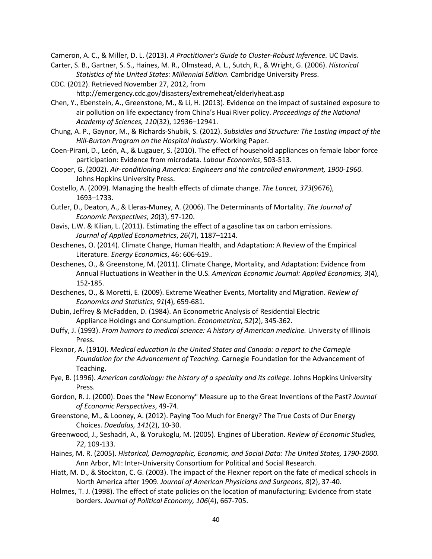Cameron, A. C., & Miller, D. L. (2013). *A Practitioner's Guide to Cluster-Robust Inference.* UC Davis.

- Carter, S. B., Gartner, S. S., Haines, M. R., Olmstead, A. L., Sutch, R., & Wright, G. (2006). *Historical Statistics of the United States: Millennial Edition.* Cambridge University Press.
- CDC. (2012). Retrieved November 27, 2012, from http://emergency.cdc.gov/disasters/extremeheat/elderlyheat.asp
- Chen, Y., Ebenstein, A., Greenstone, M., & Li, H. (2013). Evidence on the impact of sustained exposure to air pollution on life expectancy from China's Huai River policy. *Proceedings of the National Academy of Sciences, 110*(32), 12936–12941.
- Chung, A. P., Gaynor, M., & Richards-Shubik, S. (2012). *Subsidies and Structure: The Lasting Impact of the Hill-Burton Program on the Hospital Industry.* Working Paper.
- Coen-Pirani, D., León, A., & Lugauer, S. (2010). The effect of household appliances on female labor force participation: Evidence from microdata. *Labour Economics*, 503-513.
- Cooper, G. (2002). *Air-conditioning America: Engineers and the controlled environment, 1900-1960.* Johns Hopkins University Press.
- Costello, A. (2009). Managing the health effects of climate change. *The Lancet, 373*(9676), 1693–1733.
- Cutler, D., Deaton, A., & Lleras-Muney, A. (2006). The Determinants of Mortality. *The Journal of Economic Perspectives, 20*(3), 97-120.
- Davis, L.W. & Kilian, L. (2011). Estimating the effect of a gasoline tax on carbon emissions. *Journal of Applied Econometrics*, *26*(7), 1187–1214.
- Deschenes, O. (2014). Climate Change, Human Health, and Adaptation: A Review of the Empirical Literature*. Energy Economics*, 46: 606-619..
- Deschenes, O., & Greenstone, M. (2011). Climate Change, Mortality, and Adaptation: Evidence from Annual Fluctuations in Weather in the U.S. *American Economic Journal: Applied Economics, 3*(4), 152-185.
- Deschenes, O., & Moretti, E. (2009). Extreme Weather Events, Mortality and Migration. *Review of Economics and Statistics, 91*(4), 659-681.
- Dubin, Jeffrey & McFadden, D. (1984). An Econometric Analysis of Residential Electric Appliance Holdings and Consumption. *Econometrica*, *52*(2), 345-362.
- Duffy, J. (1993). *From humors to medical science: A history of American medicine.* University of Illinois Press.
- Flexnor, A. (1910). *Medical education in the United States and Canada: a report to the Carnegie Foundation for the Advancement of Teaching.* Carnegie Foundation for the Advancement of Teaching.
- Fye, B. (1996). *American cardiology: the history of a specialty and its college.* Johns Hopkins University Press.
- Gordon, R. J. (2000). Does the "New Economy" Measure up to the Great Inventions of the Past? *Journal of Economic Perspectives*, 49-74.
- Greenstone, M., & Looney, A. (2012). Paying Too Much for Energy? The True Costs of Our Energy Choices. *Daedalus, 141*(2), 10-30.
- Greenwood, J., Seshadri, A., & Yorukoglu, M. (2005). Engines of Liberation. *Review of Economic Studies, 72*, 109-133.
- Haines, M. R. (2005). *Historical, Demographic, Economic, and Social Data: The United States, 1790-2000.* Ann Arbor, MI: Inter-University Consortium for Political and Social Research.
- Hiatt, M. D., & Stockton, C. G. (2003). The impact of the Flexner report on the fate of medical schools in North America after 1909. *Journal of American Physicians and Surgeons, 8*(2), 37-40.
- Holmes, T. J. (1998). The effect of state policies on the location of manufacturing: Evidence from state borders. *Journal of Political Economy, 106*(4), 667-705.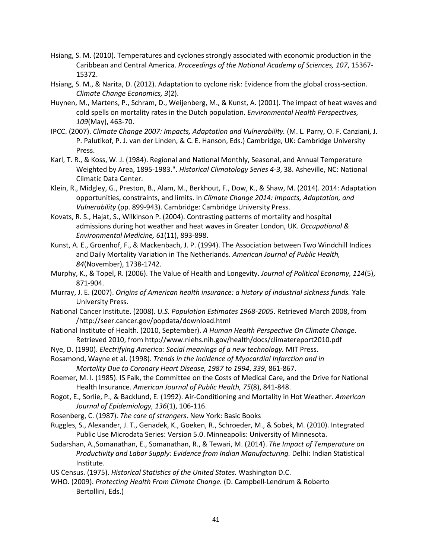- Hsiang, S. M. (2010). Temperatures and cyclones strongly associated with economic production in the Caribbean and Central America. *Proceedings of the National Academy of Sciences, 107*, 15367- 15372.
- Hsiang, S. M., & Narita, D. (2012). Adaptation to cyclone risk: Evidence from the global cross-section. *Climate Change Economics, 3*(2).
- Huynen, M., Martens, P., Schram, D., Weijenberg, M., & Kunst, A. (2001). The impact of heat waves and cold spells on mortality rates in the Dutch population. *Environmental Health Perspectives, 109*(May), 463-70.
- IPCC. (2007). *Climate Change 2007: Impacts, Adaptation and Vulnerability.* (M. L. Parry, O. F. Canziani, J. P. Palutikof, P. J. van der Linden, & C. E. Hanson, Eds.) Cambridge, UK: Cambridge University Press.
- Karl, T. R., & Koss, W. J. (1984). Regional and National Monthly, Seasonal, and Annual Temperature Weighted by Area, 1895-1983.". *Historical Climatology Series 4-3*, 38. Asheville, NC: National Climatic Data Center.
- Klein, R., Midgley, G., Preston, B., Alam, M., Berkhout, F., Dow, K., & Shaw, M. (2014). 2014: Adaptation opportunities, constraints, and limits. In *Climate Change 2014: Impacts, Adaptation, and Vulnerability* (pp. 899-943). Cambridge: Cambridge University Press.
- Kovats, R. S., Hajat, S., Wilkinson P. (2004). Contrasting patterns of mortality and hospital admissions during hot weather and heat waves in Greater London, UK. *Occupational & Environmental Medicine, 61*(11), 893-898.
- Kunst, A. E., Groenhof, F., & Mackenbach, J. P. (1994). The Association between Two Windchill Indices and Daily Mortality Variation in The Netherlands. *American Journal of Public Health, 84*(November), 1738-1742.
- Murphy, K., & Topel, R. (2006). The Value of Health and Longevity. *Journal of Political Economy, 114*(5), 871-904.
- Murray, J. E. (2007). *Origins of American health insurance: a history of industrial sickness funds.* Yale University Press.
- National Cancer Institute. (2008). *U.S. Population Estimates 1968-2005*. Retrieved March 2008, from /http://seer.cancer.gov/popdata/download.html
- National Institute of Health. (2010, September). *A Human Health Perspective On Climate Change*. Retrieved 2010, from http://www.niehs.nih.gov/health/docs/climatereport2010.pdf
- Nye, D. (1990). *Electrifying America: Social meanings of a new technology.* MIT Press.
- Rosamond, Wayne et al. (1998). *Trends in the Incidence of Myocardial Infarction and in Mortality Due to Coronary Heart Disease, 1987 to 1994*, *339*, 861-867.
- Roemer, M. I. (1985). IS Falk, the Committee on the Costs of Medical Care, and the Drive for National Health Insurance. *American Journal of Public Health, 75*(8), 841-848.
- Rogot, E., Sorlie, P., & Backlund, E. (1992). Air-Conditioning and Mortality in Hot Weather. *American Journal of Epidemiology, 136*(1), 106-116.
- Rosenberg, C. (1987). *The care of strangers*. New York: Basic Books
- Ruggles, S., Alexander, J. T., Genadek, K., Goeken, R., Schroeder, M., & Sobek, M. (2010). Integrated Public Use Microdata Series: Version 5.0. Minneapolis: University of Minnesota.
- Sudarshan, A.,Somanathan, E., Somanathan, R., & Tewari, M. (2014). *The Impact of Temperature on Productivity and Labor Supply: Evidence from Indian Manufacturing.* Delhi: Indian Statistical Institute.
- US Census. (1975). *Historical Statistics of the United States.* Washington D.C.
- WHO. (2009). *Protecting Health From Climate Change.* (D. Campbell-Lendrum & Roberto Bertollini, Eds.)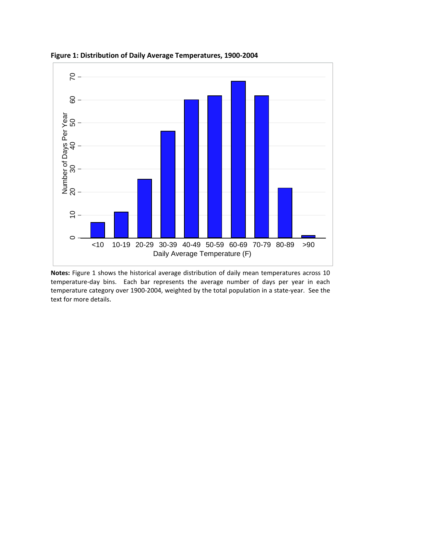

**Figure 1: Distribution of Daily Average Temperatures, 1900-2004**

**Notes:** Figure 1 shows the historical average distribution of daily mean temperatures across 10 temperature-day bins. Each bar represents the average number of days per year in each temperature category over 1900-2004, weighted by the total population in a state-year. See the text for more details.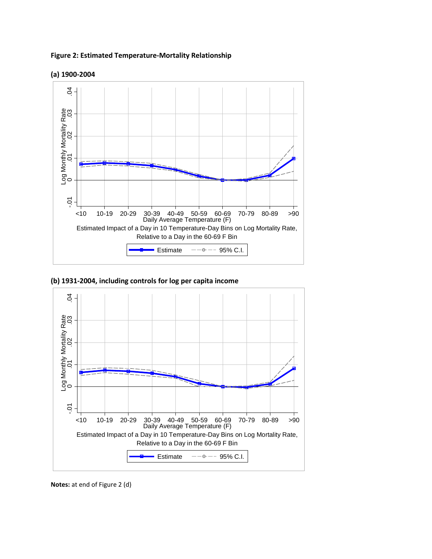





**(b) 1931-2004, including controls for log per capita income**

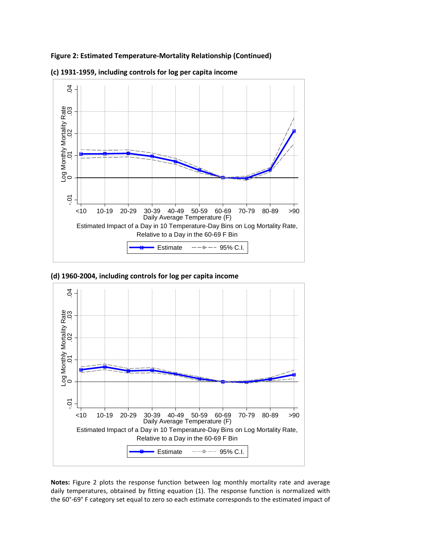#### **Figure 2: Estimated Temperature-Mortality Relationship (Continued)**



**(c) 1931-1959, including controls for log per capita income**

**(d) 1960-2004, including controls for log per capita income**



**Notes:** Figure 2 plots the response function between log monthly mortality rate and average daily temperatures, obtained by fitting equation (1). The response function is normalized with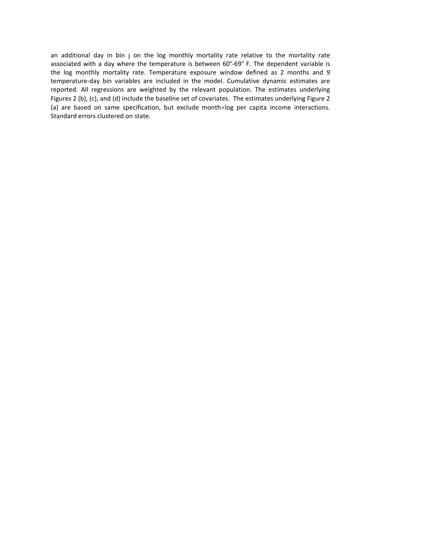an additional day in bin j on the log monthly mortality rate relative to the mortality rate associated with a day where the temperature is between 60°-69° F. The dependent variable is the log monthly mortality rate. Temperature exposure window defined as 2 months and 9 temperature-day bin variables are included in the model. Cumulative dynamic estimates are reported. All regressions are weighted by the relevant population. The estimates underlying Figures 2 (b), (c), and (d) include the baseline set of covariates. The estimates underlying Figure 2 (a) are based on same specification, but exclude month×log per capita income interactions. Standard errors clustered on state.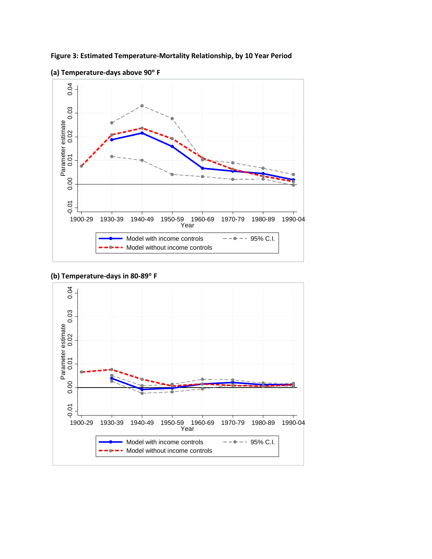**Figure 3: Estimated Temperature-Mortality Relationship, by 10 Year Period**



**(a) Temperature-days above 90**° **F**

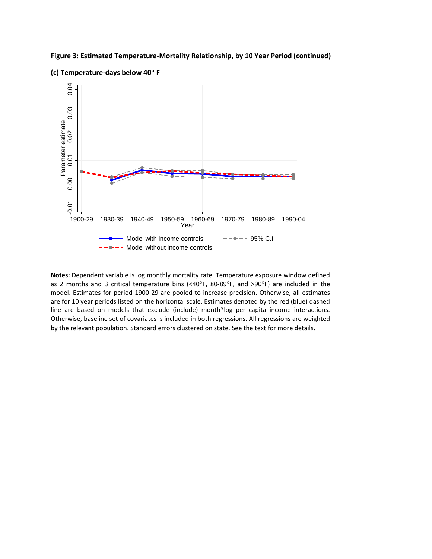**Figure 3: Estimated Temperature-Mortality Relationship, by 10 Year Period (continued)**



**(c) Temperature-days below 40**° **F**

**Notes:** Dependent variable is log monthly mortality rate. Temperature exposure window defined as 2 months and 3 critical temperature bins (<40 $\degree$ F, 80-89 $\degree$ F, and >90 $\degree$ F) are included in the model. Estimates for period 1900-29 are pooled to increase precision. Otherwise, all estimates are for 10 year periods listed on the horizontal scale. Estimates denoted by the red (blue) dashed line are based on models that exclude (include) month\*log per capita income interactions. Otherwise, baseline set of covariates is included in both regressions. All regressions are weighted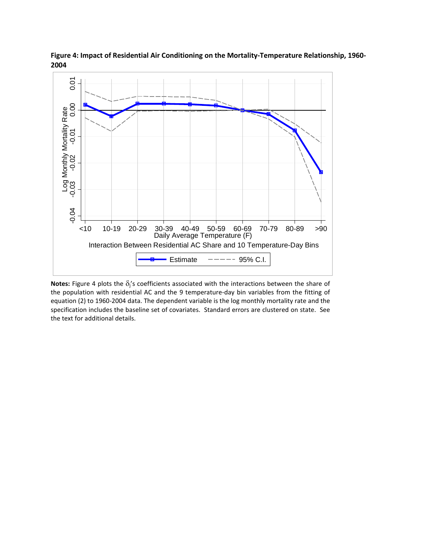

**Figure 4: Impact of Residential Air Conditioning on the Mortality-Temperature Relationship, 1960- 2004**

**Notes:** Figure 4 plots the  $\delta_i$ 's coefficients associated with the interactions between the share of the population with residential AC and the 9 temperature-day bin variables from the fitting of equation (2) to 1960-2004 data. The dependent variable is the log monthly mortality rate and the specification includes the baseline set of covariates. Standard errors are clustered on state. See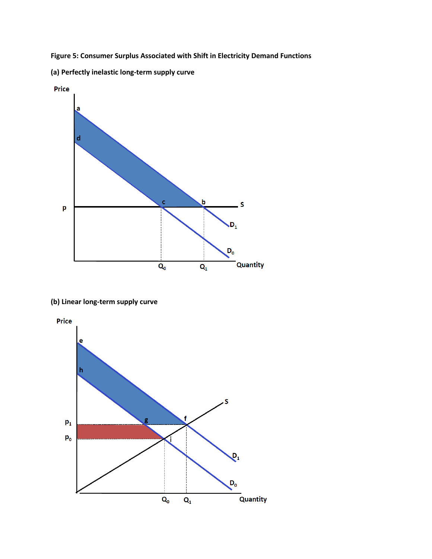**Figure 5: Consumer Surplus Associated with Shift in Electricity Demand Functions**

**(a) Perfectly inelastic long-term supply curve**



**(b) Linear long-term supply curve**

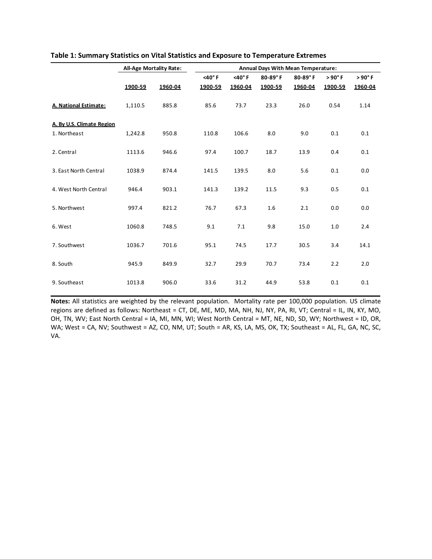|                              |         | <b>All-Age Mortality Rate:</b> |                     | <b>Annual Days With Mean Temperature:</b> |         |         |               |                 |  |
|------------------------------|---------|--------------------------------|---------------------|-------------------------------------------|---------|---------|---------------|-----------------|--|
|                              |         |                                | $<$ 40 $^{\circ}$ F | $<$ 40 $^{\circ}$ F                       | 80-89°F | 80-89°F | $>90^\circ$ F | $>90^{\circ}$ F |  |
|                              | 1900-59 | 1960-04                        | 1900-59             | 1960-04                                   | 1900-59 | 1960-04 | 1900-59       | 1960-04         |  |
| <b>A. National Estimate:</b> | 1,110.5 | 885.8                          | 85.6                | 73.7                                      | 23.3    | 26.0    | 0.54          | 1.14            |  |
| A. By U.S. Climate Region    |         |                                |                     |                                           |         |         |               |                 |  |
| 1. Northeast                 | 1,242.8 | 950.8                          | 110.8               | 106.6                                     | 8.0     | 9.0     | 0.1           | 0.1             |  |
| 2. Central                   | 1113.6  | 946.6                          | 97.4                | 100.7                                     | 18.7    | 13.9    | 0.4           | $0.1\,$         |  |
| 3. East North Central        | 1038.9  | 874.4                          | 141.5               | 139.5                                     | 8.0     | 5.6     | 0.1           | 0.0             |  |
| 4. West North Central        | 946.4   | 903.1                          | 141.3               | 139.2                                     | 11.5    | 9.3     | 0.5           | 0.1             |  |
| 5. Northwest                 | 997.4   | 821.2                          | 76.7                | 67.3                                      | 1.6     | 2.1     | 0.0           | 0.0             |  |
| 6. West                      | 1060.8  | 748.5                          | 9.1                 | 7.1                                       | 9.8     | 15.0    | 1.0           | 2.4             |  |
| 7. Southwest                 | 1036.7  | 701.6                          | 95.1                | 74.5                                      | 17.7    | 30.5    | 3.4           | 14.1            |  |
| 8. South                     | 945.9   | 849.9                          | 32.7                | 29.9                                      | 70.7    | 73.4    | 2.2           | 2.0             |  |
| 9. Southeast                 | 1013.8  | 906.0                          | 33.6                | 31.2                                      | 44.9    | 53.8    | 0.1           | 0.1             |  |

#### **Table 1: Summary Statistics on Vital Statistics and Exposure to Temperature Extremes**

**Notes:** All statistics are weighted by the relevant population. Mortality rate per 100,000 population. US climate regions are defined as follows: Northeast = CT, DE, ME, MD, MA, NH, NJ, NY, PA, RI, VT; Central = IL, IN, KY, MO, OH, TN, WV; East North Central = IA, MI, MN, WI; West North Central = MT, NE, ND, SD, WY; Northwest = ID, OR, WA; West = CA, NV; Southwest = AZ, CO, NM, UT; South = AR, KS, LA, MS, OK, TX; Southeast = AL, FL, GA, NC, SC, VA.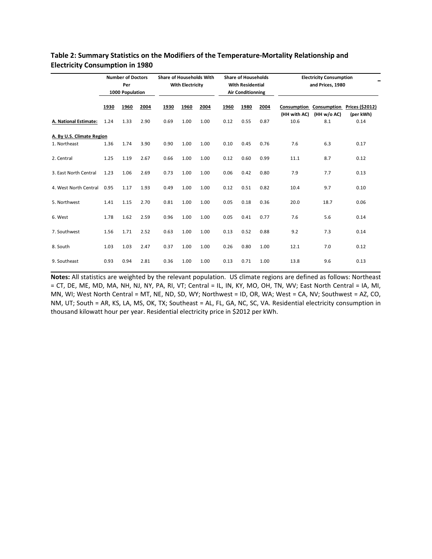|                           | <b>Number of Doctors</b><br>Per |      | <b>Share of Households With</b><br><b>With Electricity</b> |      | <b>Share of Households</b><br><b>With Residential</b><br><b>Air Conditionning</b> |      | <b>Electricity Consumption</b><br>and Prices, 1980 |      |      |                             |                            |                              |
|---------------------------|---------------------------------|------|------------------------------------------------------------|------|-----------------------------------------------------------------------------------|------|----------------------------------------------------|------|------|-----------------------------|----------------------------|------------------------------|
|                           | 1000 Population                 |      |                                                            |      |                                                                                   |      |                                                    |      |      |                             |                            |                              |
|                           | 1930                            | 1960 | 2004                                                       | 1930 | 1960                                                                              | 2004 | 1960                                               | 1980 | 2004 | Consumption<br>(HH with AC) | Consumption<br>(HH w/o AC) | Prices (\$2012)<br>(per kWh) |
| A. National Estimate:     | 1.24                            | 1.33 | 2.90                                                       | 0.69 | 1.00                                                                              | 1.00 | 0.12                                               | 0.55 | 0.87 | 10.6                        | 8.1                        | 0.14                         |
| A. By U.S. Climate Region |                                 |      |                                                            |      |                                                                                   |      |                                                    |      |      |                             |                            |                              |
| 1. Northeast              | 1.36                            | 1.74 | 3.90                                                       | 0.90 | 1.00                                                                              | 1.00 | 0.10                                               | 0.45 | 0.76 | 7.6                         | 6.3                        | 0.17                         |
| 2. Central                | 1.25                            | 1.19 | 2.67                                                       | 0.66 | 1.00                                                                              | 1.00 | 0.12                                               | 0.60 | 0.99 | 11.1                        | 8.7                        | 0.12                         |
| 3. East North Central     | 1.23                            | 1.06 | 2.69                                                       | 0.73 | 1.00                                                                              | 1.00 | 0.06                                               | 0.42 | 0.80 | 7.9                         | 7.7                        | 0.13                         |
| 4. West North Central     | 0.95                            | 1.17 | 1.93                                                       | 0.49 | 1.00                                                                              | 1.00 | 0.12                                               | 0.51 | 0.82 | 10.4                        | 9.7                        | 0.10                         |
| 5. Northwest              | 1.41                            | 1.15 | 2.70                                                       | 0.81 | 1.00                                                                              | 1.00 | 0.05                                               | 0.18 | 0.36 | 20.0                        | 18.7                       | 0.06                         |
| 6. West                   | 1.78                            | 1.62 | 2.59                                                       | 0.96 | 1.00                                                                              | 1.00 | 0.05                                               | 0.41 | 0.77 | 7.6                         | 5.6                        | 0.14                         |
| 7. Southwest              | 1.56                            | 1.71 | 2.52                                                       | 0.63 | 1.00                                                                              | 1.00 | 0.13                                               | 0.52 | 0.88 | 9.2                         | 7.3                        | 0.14                         |
| 8. South                  | 1.03                            | 1.03 | 2.47                                                       | 0.37 | 1.00                                                                              | 1.00 | 0.26                                               | 0.80 | 1.00 | 12.1                        | 7.0                        | 0.12                         |
| 9. Southeast              | 0.93                            | 0.94 | 2.81                                                       | 0.36 | 1.00                                                                              | 1.00 | 0.13                                               | 0.71 | 1.00 | 13.8                        | 9.6                        | 0.13                         |

#### **Table 2: Summary Statistics on the Modifiers of the Temperature-Mortality Relationship and Electricity Consumption in 1980**

**Notes:** All statistics are weighted by the relevant population. US climate regions are defined as follows: Northeast = CT, DE, ME, MD, MA, NH, NJ, NY, PA, RI, VT; Central = IL, IN, KY, MO, OH, TN, WV; East North Central = IA, MI, MN, WI; West North Central = MT, NE, ND, SD, WY; Northwest = ID, OR, WA; West = CA, NV; Southwest = AZ, CO, NM, UT; South = AR, KS, LA, MS, OK, TX; Southeast = AL, FL, GA, NC, SC, VA. Residential electricity consumption in thousand kilowatt hour per year. Residential electricity price in \$2012 per kWh.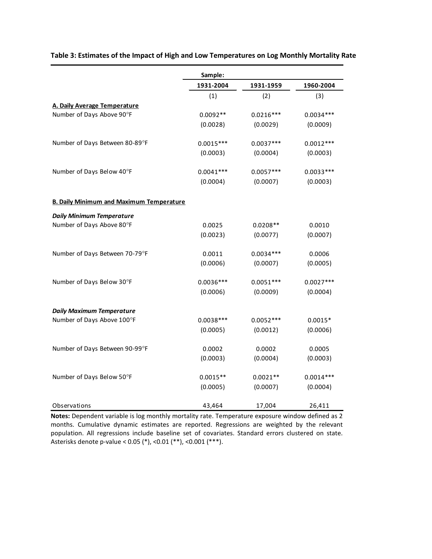|                                                 | Sample:     |             |             |
|-------------------------------------------------|-------------|-------------|-------------|
|                                                 | 1931-2004   | 1931-1959   | 1960-2004   |
|                                                 | (1)         | (2)         | (3)         |
| A. Daily Average Temperature                    |             |             |             |
| Number of Days Above 90°F                       | $0.0092**$  | $0.0216***$ | $0.0034***$ |
|                                                 | (0.0028)    | (0.0029)    | (0.0009)    |
| Number of Days Between 80-89°F                  | $0.0015***$ | $0.0037***$ | $0.0012***$ |
|                                                 | (0.0003)    | (0.0004)    | (0.0003)    |
| Number of Days Below 40°F                       | $0.0041***$ | $0.0057***$ | $0.0033***$ |
|                                                 | (0.0004)    | (0.0007)    | (0.0003)    |
| <b>B. Daily Minimum and Maximum Temperature</b> |             |             |             |
| <b>Daily Minimum Temperature</b>                |             |             |             |
| Number of Days Above 80°F                       | 0.0025      | $0.0208**$  | 0.0010      |
|                                                 | (0.0023)    | (0.0077)    | (0.0007)    |
| Number of Days Between 70-79°F                  | 0.0011      | $0.0034***$ | 0.0006      |
|                                                 | (0.0006)    | (0.0007)    | (0.0005)    |
| Number of Days Below 30°F                       | $0.0036***$ | $0.0051***$ | $0.0027***$ |
|                                                 | (0.0006)    | (0.0009)    | (0.0004)    |
| <b>Daily Maximum Temperature</b>                |             |             |             |
| Number of Days Above 100°F                      | $0.0038***$ | $0.0052***$ | $0.0015*$   |
|                                                 | (0.0005)    | (0.0012)    | (0.0006)    |
| Number of Days Between 90-99°F                  | 0.0002      | 0.0002      | 0.0005      |
|                                                 | (0.0003)    | (0.0004)    | (0.0003)    |
| Number of Days Below 50°F                       | $0.0015**$  | $0.0021**$  | $0.0014***$ |
|                                                 | (0.0005)    | (0.0007)    | (0.0004)    |
| Observations                                    | 43,464      | 17,004      | 26,411      |

**Table 3: Estimates of the Impact of High and Low Temperatures on Log Monthly Mortality Rate**

**Notes:** Dependent variable is log monthly mortality rate. Temperature exposure window defined as 2 months. Cumulative dynamic estimates are reported. Regressions are weighted by the relevant population. All regressions include baseline set of covariates. Standard errors clustered on state. Asterisks denote p-value < 0.05 (\*), <0.01 (\*\*), <0.001 (\*\*\*).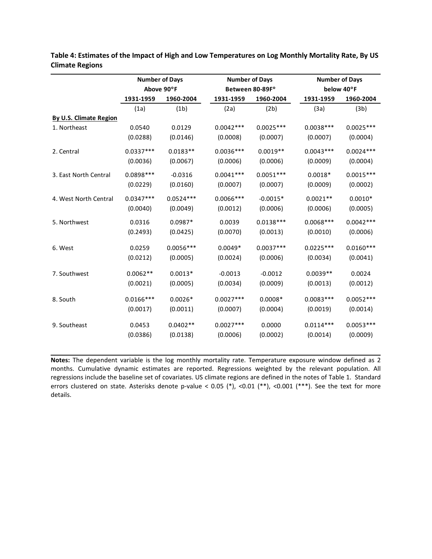|                               | <b>Number of Days</b> |                   | <b>Number of Days</b> |                 | <b>Number of Days</b> |             |  |
|-------------------------------|-----------------------|-------------------|-----------------------|-----------------|-----------------------|-------------|--|
|                               |                       | Above 90°F        |                       | Between 80-89F° |                       | below 40°F  |  |
|                               | 1931-1959             | 1960-2004         | 1931-1959             | 1960-2004       | 1931-1959             | 1960-2004   |  |
|                               | (1a)                  | (1 <sub>b</sub> ) | (2a)                  | (2b)            | (3a)                  | (3b)        |  |
| <b>By U.S. Climate Region</b> |                       |                   |                       |                 |                       |             |  |
| 1. Northeast                  | 0.0540                | 0.0129            | $0.0042***$           | $0.0025***$     | $0.0038***$           | $0.0025***$ |  |
|                               | (0.0288)              | (0.0146)          | (0.0008)              | (0.0007)        | (0.0007)              | (0.0004)    |  |
| 2. Central                    | $0.0337***$           | $0.0183**$        | $0.0036***$           | $0.0019**$      | $0.0043***$           | $0.0024***$ |  |
|                               | (0.0036)              | (0.0067)          | (0.0006)              | (0.0006)        | (0.0009)              | (0.0004)    |  |
| 3. East North Central         | $0.0898***$           | $-0.0316$         | $0.0041***$           | $0.0051***$     | $0.0018*$             | $0.0015***$ |  |
|                               | (0.0229)              | (0.0160)          | (0.0007)              | (0.0007)        | (0.0009)              | (0.0002)    |  |
| 4. West North Central         | $0.0347***$           | $0.0524***$       | $0.0066***$           | $-0.0015*$      | $0.0021**$            | $0.0010*$   |  |
|                               | (0.0040)              | (0.0049)          | (0.0012)              | (0.0006)        | (0.0006)              | (0.0005)    |  |
| 5. Northwest                  | 0.0316                | $0.0987*$         | 0.0039                | $0.0138***$     | $0.0068***$           | $0.0042***$ |  |
|                               | (0.2493)              | (0.0425)          | (0.0070)              | (0.0013)        | (0.0010)              | (0.0006)    |  |
| 6. West                       | 0.0259                | $0.0056***$       | $0.0049*$             | $0.0037***$     | $0.0225***$           | $0.0160***$ |  |
|                               | (0.0212)              | (0.0005)          | (0.0024)              | (0.0006)        | (0.0034)              | (0.0041)    |  |
| 7. Southwest                  | $0.0062**$            | $0.0013*$         | $-0.0013$             | $-0.0012$       | $0.0039**$            | 0.0024      |  |
|                               | (0.0021)              | (0.0005)          | (0.0034)              | (0.0009)        | (0.0013)              | (0.0012)    |  |
| 8. South                      | $0.0166***$           | $0.0026*$         | $0.0027***$           | $0.0008*$       | $0.0083***$           | $0.0052***$ |  |
|                               | (0.0017)              | (0.0011)          | (0.0007)              | (0.0004)        | (0.0019)              | (0.0014)    |  |
| 9. Southeast                  | 0.0453                | $0.0402**$        | $0.0027***$           | 0.0000          | $0.0114***$           | $0.0053***$ |  |
|                               | (0.0386)              | (0.0138)          | (0.0006)              | (0.0002)        | (0.0014)              | (0.0009)    |  |
|                               |                       |                   |                       |                 |                       |             |  |

**Table 4: Estimates of the Impact of High and Low Temperatures on Log Monthly Mortality Rate, By US Climate Regions**

**Notes:** The dependent variable is the log monthly mortality rate. Temperature exposure window defined as 2 months. Cumulative dynamic estimates are reported. Regressions weighted by the relevant population. All regressions include the baseline set of covariates. US climate regions are defined in the notes of Table 1. Standard errors clustered on state. Asterisks denote p-value < 0.05 (\*), <0.01 (\*\*), <0.001 (\*\*\*). See the text for more details.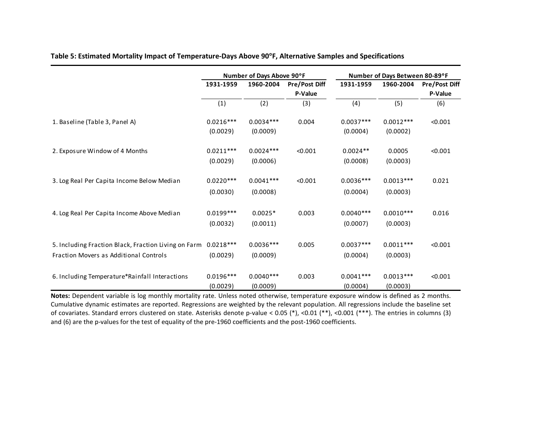|                                                      | Number of Days Above 90°F |             |                      | Number of Days Between 80-89°F |             |                      |
|------------------------------------------------------|---------------------------|-------------|----------------------|--------------------------------|-------------|----------------------|
|                                                      | 1931-1959                 | 1960-2004   | <b>Pre/Post Diff</b> | 1931-1959                      | 1960-2004   | <b>Pre/Post Diff</b> |
|                                                      |                           |             | P-Value              |                                |             | P-Value              |
|                                                      | (1)                       | (2)         | (3)                  | (4)                            | (5)         | (6)                  |
| 1. Baseline (Table 3, Panel A)                       | $0.0216***$               | $0.0034***$ | 0.004                | $0.0037***$                    | $0.0012***$ | < 0.001              |
|                                                      | (0.0029)                  | (0.0009)    |                      | (0.0004)                       | (0.0002)    |                      |
| 2. Exposure Window of 4 Months                       | $0.0211***$               | $0.0024***$ | < 0.001              | $0.0024**$                     | 0.0005      | < 0.001              |
|                                                      | (0.0029)                  | (0.0006)    |                      | (0.0008)                       | (0.0003)    |                      |
| 3. Log Real Per Capita Income Below Median           | $0.0220***$               | $0.0041***$ | < 0.001              | $0.0036***$                    | $0.0013***$ | 0.021                |
|                                                      | (0.0030)                  | (0.0008)    |                      | (0.0004)                       | (0.0003)    |                      |
|                                                      |                           |             |                      |                                |             |                      |
| 4. Log Real Per Capita Income Above Median           | $0.0199***$               | $0.0025*$   | 0.003                | $0.0040***$                    | $0.0010***$ | 0.016                |
|                                                      | (0.0032)                  | (0.0011)    |                      | (0.0007)                       | (0.0003)    |                      |
| 5. Including Fraction Black, Fraction Living on Farm | $0.0218***$               | $0.0036***$ | 0.005                | $0.0037***$                    | $0.0011***$ | < 0.001              |
| Fraction Movers as Additional Controls               | (0.0029)                  | (0.0009)    |                      | (0.0004)                       | (0.0003)    |                      |
| 6. Including Temperature*Rainfall Interactions       | $0.0196***$               | $0.0040***$ | 0.003                | $0.0041***$                    | $0.0013***$ | < 0.001              |
|                                                      | (0.0029)                  | (0.0009)    |                      | (0.0004)                       | (0.0003)    |                      |

#### **Table 5: Estimated Mortality Impact of Temperature-Days Above 90**°**F, Alternative Samples and Specifications**

**Notes:** Dependent variable is log monthly mortality rate. Unless noted otherwise, temperature exposure window is defined as 2 months. Cumulative dynamic estimates are reported. Regressions are weighted by the relevant population. All regressions include the baseline set of covariates. Standard errors clustered on state. Asterisks denote p-value < 0.05 (\*), <0.01 (\*\*), <0.001 (\*\*\*). The entries in columns (3) and (6) are the p-values for the test of equality of the pre-1960 coefficients and the post-1960 coefficients.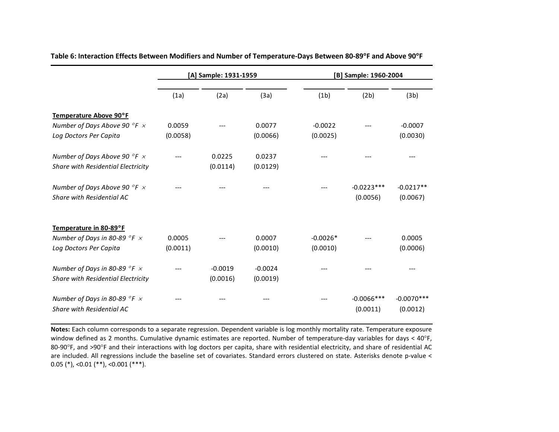|                                                                           |          | [A] Sample: 1931-1959 |           |            | [B] Sample: 1960-2004     |                          |  |
|---------------------------------------------------------------------------|----------|-----------------------|-----------|------------|---------------------------|--------------------------|--|
|                                                                           | (1a)     | (2a)                  | (3a)      | (1b)       | (2b)                      | (3b)                     |  |
| Temperature Above 90°F                                                    |          |                       |           |            |                           |                          |  |
| Number of Days Above 90 °F $\times$                                       | 0.0059   |                       | 0.0077    | $-0.0022$  |                           | $-0.0007$                |  |
| Log Doctors Per Capita                                                    | (0.0058) |                       | (0.0066)  | (0.0025)   |                           | (0.0030)                 |  |
| Number of Days Above 90 $\degree$ F $\times$                              |          | 0.0225                | 0.0237    |            |                           |                          |  |
| Share with Residential Electricity                                        |          | (0.0114)              | (0.0129)  |            |                           |                          |  |
| Number of Days Above 90 $\degree$ F $\times$                              |          |                       |           |            | $-0.0223***$              | $-0.0217**$              |  |
| Share with Residential AC                                                 |          |                       |           |            | (0.0056)                  | (0.0067)                 |  |
|                                                                           |          |                       |           |            |                           |                          |  |
| Temperature in 80-89°F                                                    | 0.0005   |                       | 0.0007    | $-0.0026*$ |                           | 0.0005                   |  |
| Number of Days in 80-89 $\degree$ F $\times$                              |          |                       |           |            |                           |                          |  |
| Log Doctors Per Capita                                                    | (0.0011) |                       | (0.0010)  | (0.0010)   |                           | (0.0006)                 |  |
| Number of Days in 80-89 $\degree$ F $\times$                              |          | $-0.0019$             | $-0.0024$ |            |                           |                          |  |
| Share with Residential Electricity                                        |          | (0.0016)              | (0.0019)  |            |                           |                          |  |
| Number of Days in 80-89 $\degree$ F $\times$<br>Share with Residential AC |          |                       |           |            | $-0.0066$ ***<br>(0.0011) | $-0.0070***$<br>(0.0012) |  |
|                                                                           |          |                       |           |            |                           |                          |  |

**Table 6: Interaction Effects Between Modifiers and Number of Temperature-Days Between 80-89**°**F and Above 90**°**F**

**Notes:** Each column corresponds to a separate regression. Dependent variable is log monthly mortality rate. Temperature exposure window defined as 2 months. Cumulative dynamic estimates are reported. Number of temperature-day variables for days < 40°F, 80-90°F, and >90°F and their interactions with log doctors per capita, share with residential electricity, and share of residential AC are included. All regressions include the baseline set of covariates. Standard errors clustered on state. Asterisks denote p-value <  $0.05$  (\*), < $0.01$  (\*\*), < $0.001$  (\*\*\*).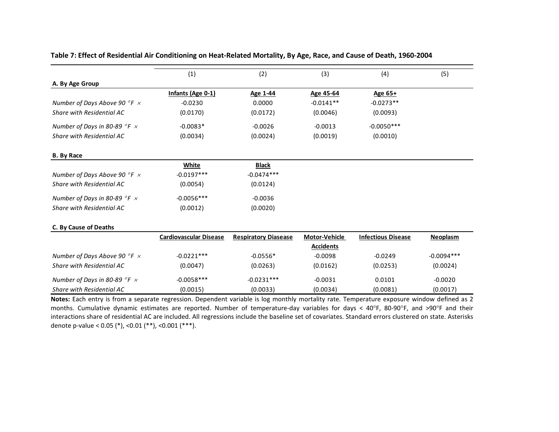|  |  |  | Table 7: Effect of Residential Air Conditioning on Heat-Related Mortality, By Age, Race, and Cause of Death, 1960-2004 |
|--|--|--|------------------------------------------------------------------------------------------------------------------------|
|--|--|--|------------------------------------------------------------------------------------------------------------------------|

|                                              | (1)                           | (2)                         | (3)                  | (4)                       | (5)             |
|----------------------------------------------|-------------------------------|-----------------------------|----------------------|---------------------------|-----------------|
| A. By Age Group                              |                               |                             |                      |                           |                 |
|                                              | Infants (Age 0-1)             | Age 1-44                    | Age 45-64            | Age 65+                   |                 |
| Number of Days Above 90 °F $\times$          | $-0.0230$                     | 0.0000                      | $-0.0141**$          | $-0.0273**$               |                 |
| Share with Residential AC                    | (0.0170)                      | (0.0172)                    | (0.0046)             | (0.0093)                  |                 |
| Number of Days in 80-89 $\degree$ F $\times$ | $-0.0083*$                    | $-0.0026$                   | $-0.0013$            | $-0.0050***$              |                 |
| Share with Residential AC                    | (0.0034)                      | (0.0024)                    | (0.0019)             | (0.0010)                  |                 |
| <b>B.</b> By Race                            |                               |                             |                      |                           |                 |
|                                              | White                         | <b>Black</b>                |                      |                           |                 |
| Number of Days Above 90 °F $\times$          | $-0.0197***$                  | $-0.0474***$                |                      |                           |                 |
| Share with Residential AC                    | (0.0054)                      | (0.0124)                    |                      |                           |                 |
| Number of Days in 80-89 $\degree$ F $\times$ | $-0.0056***$                  | $-0.0036$                   |                      |                           |                 |
| Share with Residential AC                    | (0.0012)                      | (0.0020)                    |                      |                           |                 |
| C. By Cause of Deaths                        |                               |                             |                      |                           |                 |
|                                              | <b>Cardiovascular Disease</b> | <b>Respiratory Diasease</b> | <b>Motor-Vehicle</b> | <b>Infectious Disease</b> | <b>Neoplasm</b> |
|                                              |                               |                             | <b>Accidents</b>     |                           |                 |
| Number of Days Above 90 °F $\times$          | $-0.0221***$                  | $-0.0556*$                  | $-0.0098$            | $-0.0249$                 | $-0.0094***$    |
| Share with Residential AC                    | (0.0047)                      | (0.0263)                    | (0.0162)             | (0.0253)                  | (0.0024)        |
| Number of Days in 80-89 $\degree$ F $\times$ | $-0.0058***$                  | $-0.0231***$                | $-0.0031$            | 0.0101                    | $-0.0020$       |
| Share with Residential AC                    | (0.0015)                      | (0.0033)                    | (0.0034)             | (0.0081)                  | (0.0017)        |

**Notes:** Each entry is from a separate regression. Dependent variable is log monthly mortality rate. Temperature exposure window defined as 2 months. Cumulative dynamic estimates are reported. Number of temperature-day variables for days < 40°F, 80-90°F, and >90°F and their interactions share of residential AC are included. All regressions include the baseline set of covariates. Standard errors clustered on state. Asterisks denote p-value < 0.05 (\*), <0.01 (\*\*), <0.001 (\*\*\*).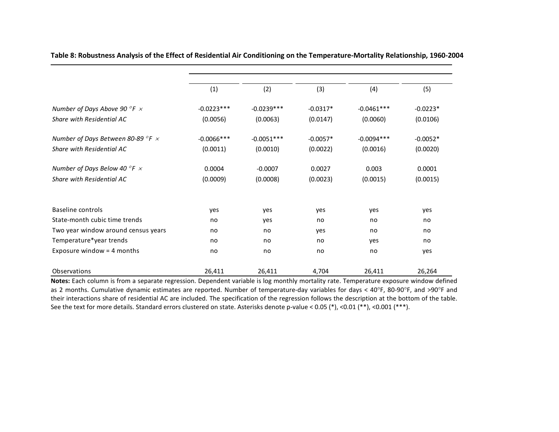|                                              | (1)           | (2)          | (3)        | (4)          | (5)        |
|----------------------------------------------|---------------|--------------|------------|--------------|------------|
| Number of Days Above 90 $\degree$ F $\times$ | $-0.0223***$  | $-0.0239***$ | $-0.0317*$ | $-0.0461***$ | $-0.0223*$ |
| Share with Residential AC                    | (0.0056)      | (0.0063)     | (0.0147)   | (0.0060)     | (0.0106)   |
| Number of Days Between 80-89 °F $\times$     | $-0.0066$ *** | $-0.0051***$ | $-0.0057*$ | $-0.0094***$ | $-0.0052*$ |
| Share with Residential AC                    | (0.0011)      | (0.0010)     | (0.0022)   | (0.0016)     | (0.0020)   |
| Number of Days Below 40 °F $\times$          | 0.0004        | $-0.0007$    | 0.0027     | 0.003        | 0.0001     |
| Share with Residential AC                    | (0.0009)      | (0.0008)     | (0.0023)   | (0.0015)     | (0.0015)   |
|                                              |               |              |            |              |            |
| Baseline controls                            | yes           | yes          | yes        | yes          | yes        |
| State-month cubic time trends                | no            | yes          | no         | no           | no         |
| Two year window around census years          | no            | no           | yes        | no           | no         |
| Temperature*year trends                      | no            | no           | no         | yes          | no         |
| Exposure window = $4$ months                 | no            | no           | no         | no           | yes        |
| <b>Observations</b>                          | 26,411        | 26,411       | 4,704      | 26,411       | 26,264     |

**Table 8: Robustness Analysis of the Effect of Residential Air Conditioning on the Temperature-Mortality Relationship, 1960-2004**

**Notes:** Each column is from a separate regression. Dependent variable is log monthly mortality rate. Temperature exposure window defined as 2 months. Cumulative dynamic estimates are reported. Number of temperature-day variables for days < 40°F, 80-90°F, and >90°F and their interactions share of residential AC are included. The specification of the regression follows the description at the bottom of the table. See the text for more details. Standard errors clustered on state. Asterisks denote p-value < 0.05 (\*), <0.01 (\*\*), <0.001 (\*\*\*).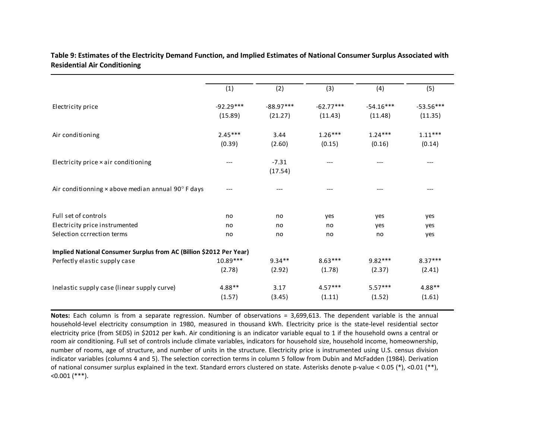|                                                                     | (1)         | (2)         | (3)         | (4)         | (5)         |
|---------------------------------------------------------------------|-------------|-------------|-------------|-------------|-------------|
| Electricity price                                                   | $-92.29***$ | $-88.97***$ | $-62.77***$ | $-54.16***$ | $-53.56***$ |
|                                                                     | (15.89)     | (21.27)     | (11.43)     | (11.48)     | (11.35)     |
| Air conditioning                                                    | $2.45***$   | 3.44        | $1.26***$   | $1.24***$   | $1.11***$   |
|                                                                     | (0.39)      | (2.60)      | (0.15)      | (0.16)      | (0.14)      |
| Electricity price x air conditioning                                |             | $-7.31$     | $---$       |             | ---         |
|                                                                     |             | (17.54)     |             |             |             |
| Air conditionning $\times$ above median annual 90 $^{\circ}$ F days |             |             |             |             | $---$       |
| Full set of controls                                                | no          | no          | yes         | yes         | yes         |
| Electricity price instrumented                                      | no          | no          | no          | yes         | yes         |
| Selection ccrrection terms                                          | no          | no          | no          | no          | yes         |
| Implied National Consumer Surplus from AC (Billion \$2012 Per Year) |             |             |             |             |             |
| Perfectly elastic supply case                                       | 10.89***    | $9.34**$    | $8.63***$   | $9.82***$   | $8.37***$   |
|                                                                     | (2.78)      | (2.92)      | (1.78)      | (2.37)      | (2.41)      |
| Inelastic supply case (linear supply curve)                         | 4.88**      | 3.17        | $4.57***$   | $5.57***$   | 4.88**      |
|                                                                     | (1.57)      | (3.45)      | (1.11)      | (1.52)      | (1.61)      |

**Table 9: Estimates of the Electricity Demand Function, and Implied Estimates of National Consumer Surplus Associated with Residential Air Conditioning**

Notes: Each column is from a separate regression. Number of observations = 3,699,613. The dependent variable is the annual household-level electricity consumption in 1980, measured in thousand kWh. Electricity price is the state-level residential sector electricity price (from SEDS) in \$2012 per kwh. Air conditioning is an indicator variable equal to 1 if the household owns a central or room air conditioning. Full set of controls include climate variables, indicators for household size, household income, homeownership, number of rooms, age of structure, and number of units in the structure. Electricity price is instrumented using U.S. census division indicator variables (columns 4 and 5). The selection correction terms in column 5 follow from Dubin and McFadden (1984). Derivation of national consumer surplus explained in the text. Standard errors clustered on state. Asterisks denote p-value < 0.05 (\*), <0.01 (\*\*),  $< 0.001$  (\*\*\*).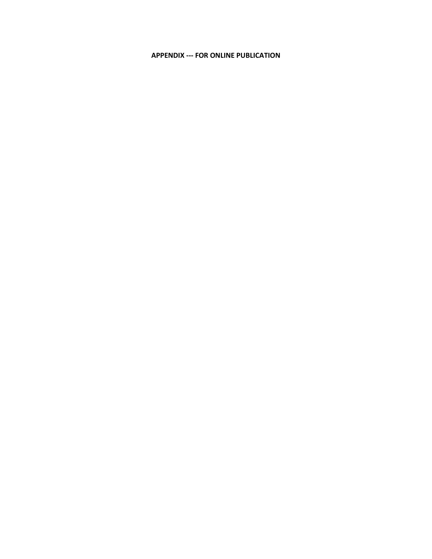### **APPENDIX --- FOR ONLINE PUBLICATION**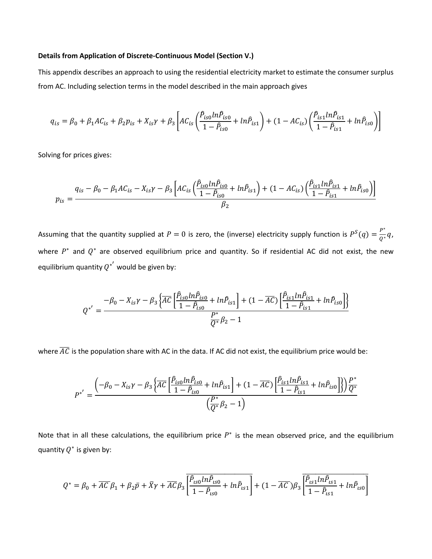#### Details from Application of Discrete-Continuous Model (Section V.)

This appendix describes an approach to using the residential electricity market to estimate the consumer surplus from AC. Including selection terms in the model described in the main approach gives

$$
q_{is} = \beta_0 + \beta_1 AC_{is} + \beta_2 p_{is} + X_{is}\gamma + \beta_3 \left[ AC_{is} \left( \frac{\hat{P}_{is0} ln \hat{P}_{is0}}{1 - \hat{P}_{is0}} + ln \hat{P}_{is1} \right) + (1 - AC_{is}) \left( \frac{\hat{P}_{is1} ln \hat{P}_{is1}}{1 - \hat{P}_{is1}} + ln \hat{P}_{is0} \right) \right]
$$

Solving for prices gives:

$$
p_{is} = \frac{q_{is} - \beta_0 - \beta_1 AC_{is} - X_{is}\gamma - \beta_3 \left[AC_{is}\left(\frac{\hat{P}_{is0}ln\hat{P}_{is0}}{1 - \hat{P}_{is0}} + ln\hat{P}_{is1}\right) + (1 - AC_{is})\left(\frac{\hat{P}_{is1}ln\hat{P}_{is1}}{1 - \hat{P}_{is1}} + ln\hat{P}_{is0}\right)\right]}{\beta_2}
$$

Assuming that the quantity supplied at  $P=0$  is zero, the (inverse) electricity supply function is  $P^S(q) = \frac{P^*}{Q^*}q$ , where  $P^*$  and  $Q^*$  are observed equilibrium price and quantity. So if residential AC did not exist, the new equilibrium quantity  $Q^{*'}$  would be given by:

$$
Q^{*'} = \frac{-\beta_0 - X_{is}\gamma - \beta_3 \left\{ \overline{AC} \left[ \frac{\hat{P}_{iso} ln \hat{P}_{iso}}{1 - \hat{P}_{iso}} + ln \hat{P}_{is1} \right] + (1 - \overline{AC}) \left[ \frac{\hat{P}_{is1} ln \hat{P}_{is1}}{1 - \hat{P}_{is1}} + ln \hat{P}_{is0} \right] \right\}}{\frac{P^*}{Q^*} \beta_2 - 1}
$$

where  $\overline{AC}$  is the population share with AC in the data. If AC did not exist, the equilibrium price would be:

$$
{P^*}'=\frac{\left(-\beta_0-X_{is}\gamma-\beta_3\left\{\overline{AC}\left[\frac{\hat{P}_{is0}ln\hat{P}_{is0}}{1-\hat{P}_{is0}}+ln\hat{P}_{is1}\right]+(1-\overline{AC})\left[\frac{\hat{P}_{is1}ln\hat{P}_{is1}}{1-\hat{P}_{is1}}+ln\hat{P}_{is0}\right]\right\}\right)\frac{P^*}{Q^*}}{\left(\frac{P^*}{Q^*}\beta_2-1\right)}
$$

Note that in all these calculations, the equilibrium price  $P^*$  is the mean observed price, and the equilibrium quantity  $Q^*$  is given by:

$$
Q^* = \beta_0 + \overline{AC} \beta_1 + \beta_2 \overline{p} + \overline{X} \gamma + \overline{AC} \beta_3 \overline{\left[ \frac{\hat{P}_{LS0} ln \hat{P}_{LS0}}{1 - \hat{P}_{LS0}} + ln \hat{P}_{LS1} \right]} + (1 - \overline{AC}) \beta_3 \overline{\left[ \frac{\hat{P}_{LS1} ln \hat{P}_{LS1}}{1 - \hat{P}_{LS1}} + ln \hat{P}_{LS0} \right]}
$$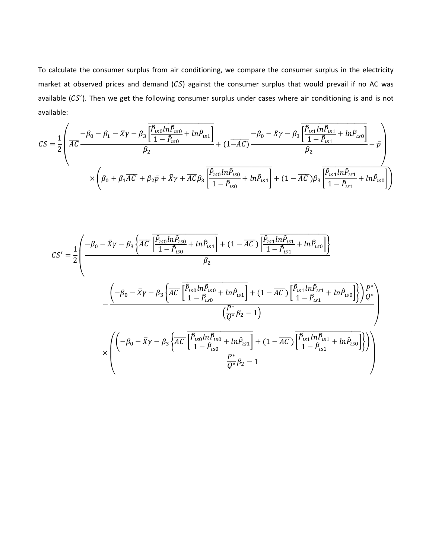To calculate the consumer surplus from air conditioning, we compare the consumer surplus in the electricity market at observed prices and demand (CS) against the consumer surplus that would prevail if no AC was available  $(CS')$ . Then we get the following consumer surplus under cases where air conditioning is and is not available:

$$
CS = \frac{1}{2} \left( \overline{AC} \frac{-\beta_0 - \beta_1 - \overline{X} \gamma - \beta_3 \overline{\left[ \frac{\hat{P}_{iso} ln \hat{P}_{iso}}{1 - \hat{P}_{iso}} + ln \hat{P}_{iso} \right]}}{\beta_2} + (1 - \overline{AC}) \frac{-\beta_0 - \overline{X} \gamma - \beta_3 \overline{\left[ \frac{\hat{P}_{iso} ln \hat{P}_{iso}}{1 - \hat{P}_{iso}} + ln \hat{P}_{iso} \right]}}{\beta_2} - \overline{p} \right)
$$

$$
\times \left( \beta_0 + \beta_1 \overline{AC} + \beta_2 \overline{p} + \overline{X} \gamma + \overline{AC} \beta_3 \overline{\left[ \frac{\hat{P}_{iso} ln \hat{P}_{iso}}{1 - \hat{P}_{iso}} + ln \hat{P}_{iso} \right]} + (1 - \overline{AC}) \beta_3 \overline{\left[ \frac{\hat{P}_{iso} ln \hat{P}_{iso}}{1 - \hat{P}_{iso}} + ln \hat{P}_{iso} \right]} \right)
$$

$$
CS' = \frac{1}{2} \left( \frac{-\beta_0 - \bar{X} \gamma - \beta_3 \left\{ \overline{AC} \left[ \frac{\hat{P}_{LS0} ln \hat{P}_{LS0}}{1 - \hat{P}_{LS0}} + ln \hat{P}_{LS1} \right] + (1 - \overline{AC}) \left[ \frac{\hat{P}_{LS1} ln \hat{P}_{LS1}}{1 - \hat{P}_{LS1}} + ln \hat{P}_{LS0} \right] \right\}}{\beta_2} \right)
$$
  

$$
- \frac{\left( -\beta_0 - \bar{X} \gamma - \beta_3 \left\{ \overline{AC} \left[ \frac{\hat{P}_{LS0} ln \hat{P}_{LS0}}{1 - \hat{P}_{LS0}} + ln \hat{P}_{LS1} \right] + (1 - \overline{AC}) \left[ \frac{\hat{P}_{LS1} ln \hat{P}_{LS1}}{1 - \hat{P}_{LS1}} + ln \hat{P}_{LS0} \right] \right\} \right) \overline{Q^*}}{\left( \frac{\overline{P^*}}{\overline{Q^*}} \beta_2 - 1 \right)}
$$
  

$$
\times \left( \frac{\left( -\beta_0 - \bar{X} \gamma - \beta_3 \left\{ \overline{AC} \left[ \frac{\hat{P}_{LS0} ln \hat{P}_{LS0}}{1 - \hat{P}_{LS0}} + ln \hat{P}_{LS1} \right] + (1 - \overline{AC}) \left[ \frac{\hat{P}_{LS1} ln \hat{P}_{LS1}}{1 - \hat{P}_{LS1}} + ln \hat{P}_{LS0} \right] \right\} \right)}{\overline{Q^*} \beta_2 - 1}
$$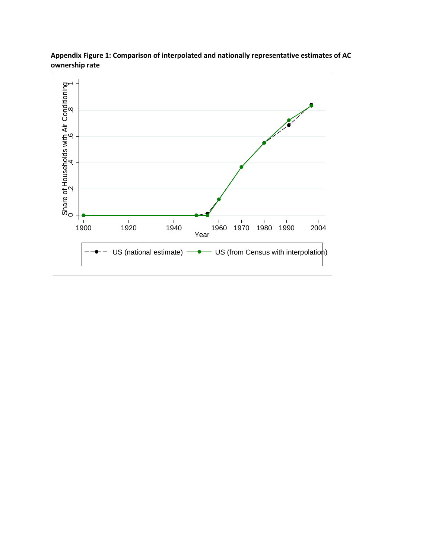

**Appendix Figure 1: Comparison of interpolated and nationally representative estimates of AC ownership rate**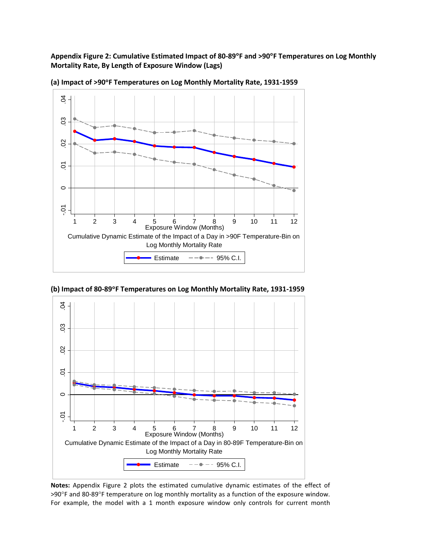**Appendix Figure 2: Cumulative Estimated Impact of 80-89**°**F and >90**°**F Temperatures on Log Monthly Mortality Rate, By Length of Exposure Window (Lags)**



**(a) Impact of >90**°**F Temperatures on Log Monthly Mortality Rate, 1931-1959**

**(b) Impact of 80-89**°**F Temperatures on Log Monthly Mortality Rate, 1931-1959**



**Notes:** Appendix Figure 2 plots the estimated cumulative dynamic estimates of the effect of >90°F and 80-89°F temperature on log monthly mortality as a function of the exposure window.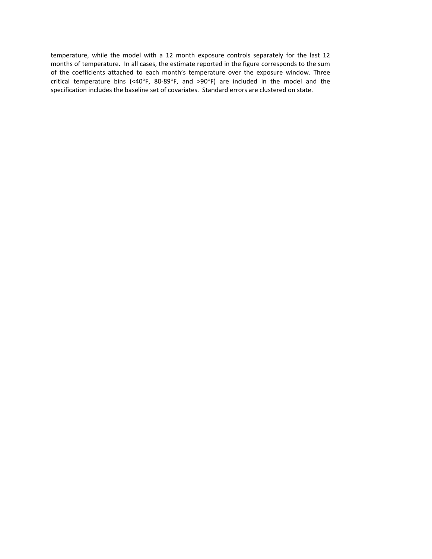temperature, while the model with a 12 month exposure controls separately for the last 12 months of temperature. In all cases, the estimate reported in the figure corresponds to the sum of the coefficients attached to each month's temperature over the exposure window. Three critical temperature bins (<40°F, 80-89°F, and >90°F) are included in the model and the specification includes the baseline set of covariates. Standard errors are clustered on state.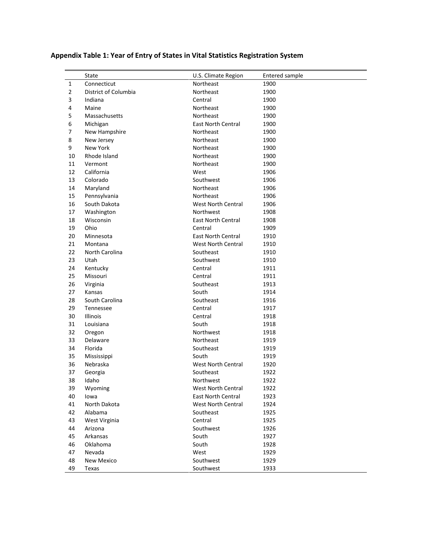### **Appendix Table 1: Year of Entry of States in Vital Statistics Registration System**

|    | State                | U.S. Climate Region       | Entered sample |
|----|----------------------|---------------------------|----------------|
| 1  | Connecticut          | Northeast                 | 1900           |
| 2  | District of Columbia | Northeast                 | 1900           |
| 3  | Indiana              | Central                   | 1900           |
| 4  | Maine                | Northeast                 | 1900           |
| 5  | Massachusetts        | <b>Northeast</b>          | 1900           |
| 6  | Michigan             | East North Central        | 1900           |
| 7  | New Hampshire        | <b>Northeast</b>          | 1900           |
| 8  | New Jersey           | Northeast                 | 1900           |
| 9  | New York             | Northeast                 | 1900           |
| 10 | Rhode Island         | Northeast                 | 1900           |
| 11 | Vermont              | <b>Northeast</b>          | 1900           |
| 12 | California           | West                      | 1906           |
| 13 | Colorado             | Southwest                 | 1906           |
| 14 | Maryland             | Northeast                 | 1906           |
| 15 | Pennsylvania         | Northeast                 | 1906           |
| 16 | South Dakota         | <b>West North Central</b> | 1906           |
| 17 | Washington           | Northwest                 | 1908           |
| 18 | Wisconsin            | <b>East North Central</b> | 1908           |
| 19 | Ohio                 | Central                   | 1909           |
| 20 | Minnesota            | <b>East North Central</b> | 1910           |
| 21 | Montana              | <b>West North Central</b> | 1910           |
| 22 | North Carolina       | Southeast                 | 1910           |
| 23 | Utah                 | Southwest                 | 1910           |
| 24 | Kentucky             | Central                   | 1911           |
| 25 | Missouri             | Central                   | 1911           |
| 26 | Virginia             | Southeast                 | 1913           |
| 27 | Kansas               | South                     | 1914           |
| 28 | South Carolina       | Southeast                 | 1916           |
| 29 | Tennessee            | Central                   | 1917           |
| 30 | Illinois             | Central                   | 1918           |
| 31 | Louisiana            | South                     | 1918           |
| 32 | Oregon               | Northwest                 | 1918           |
| 33 | Delaware             | Northeast                 | 1919           |
| 34 | Florida              | Southeast                 | 1919           |
| 35 | Mississippi          | South                     | 1919           |
| 36 | Nebraska             | <b>West North Central</b> | 1920           |
| 37 | Georgia              | Southeast                 | 1922           |
| 38 | Idaho                | Northwest                 | 1922           |
| 39 | Wyoming              | West North Central        | 1922           |
| 40 | lowa                 | <b>East North Central</b> | 1923           |
| 41 | North Dakota         | <b>West North Central</b> | 1924           |
| 42 | Alabama              | Southeast                 | 1925           |
| 43 | West Virginia        | Central                   | 1925           |
| 44 | Arizona              | Southwest                 | 1926           |
| 45 | Arkansas             | South                     | 1927           |
| 46 | Oklahoma             | South                     | 1928           |
| 47 | Nevada               | West                      | 1929           |
| 48 | New Mexico           | Southwest                 | 1929           |
| 49 | Texas                | Southwest                 | 1933           |